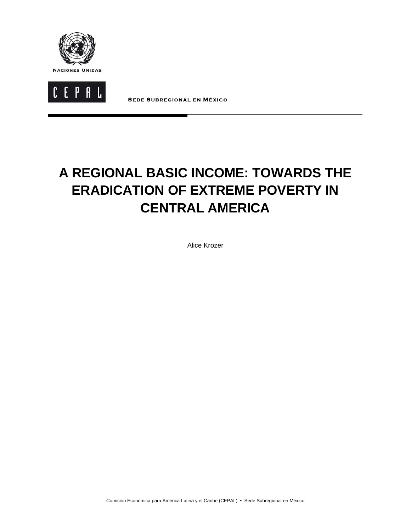



**S EDE S UBREGIONAL EN MÉXICO**

# **A REGIONAL BASIC INCOME: TOWARDS THE ERADICATION OF EXTREME POVERTY IN CENTRAL AMERICA**

Alice Krozer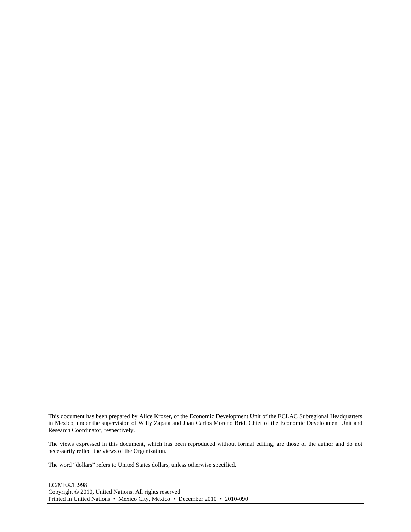This document has been prepared by Alice Krozer, of the Economic Development Unit of the ECLAC Subregional Headquarters in Mexico, under the supervision of Willy Zapata and Juan Carlos Moreno Brid, Chief of the Economic Development Unit and Research Coordinator, respectively.

The views expressed in this document, which has been reproduced without formal editing, are those of the author and do not necessarily reflect the views of the Organization.

The word "dollars" refers to United States dollars, unless otherwise specified.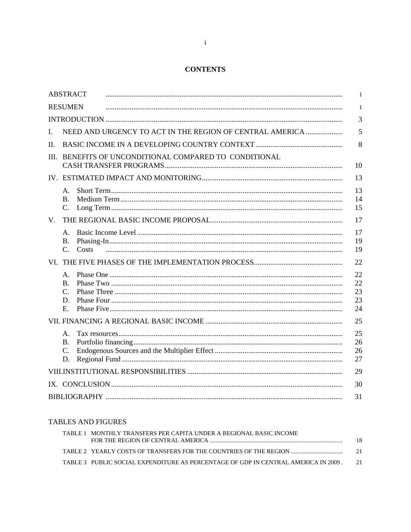## **CONTENTS**

|             | <b>ABSTRACT</b>                                          | 1                    |
|-------------|----------------------------------------------------------|----------------------|
|             | <b>RESUMEN</b>                                           | 1                    |
|             |                                                          | 3                    |
| Ι.          | NEED AND URGENCY TO ACT IN THE REGION OF CENTRAL AMERICA | 5                    |
| II.         |                                                          | 8                    |
| HL.         | BENEFITS OF UNCONDITIONAL COMPARED TO CONDITIONAL        | 10                   |
|             |                                                          | 13                   |
|             | Α.<br>B.<br>C.                                           | 13<br>14<br>15       |
| $V_{\cdot}$ |                                                          | 17                   |
|             | Α.<br>В.<br>$\mathbf{C}$ .<br>Costs                      | 17<br>19<br>19       |
|             |                                                          | 22                   |
|             | Α.<br>$\bf{B}$ .                                         | 22<br>22             |
|             | $\mathcal{C}$ .                                          | 23                   |
|             | D.                                                       | 23                   |
|             | E.                                                       | 24                   |
|             |                                                          | 25                   |
|             | Α.<br><b>B.</b><br>C.<br>D.                              | 25<br>26<br>26<br>27 |
|             |                                                          | 29                   |
|             |                                                          | 30                   |
|             |                                                          | 31                   |

## **TABLES AND FIGURES**

| TABLE 1 MONTHLY TRANSFERS PER CAPITA UNDER A REGIONAL BASIC INCOME                 |        |
|------------------------------------------------------------------------------------|--------|
| TABLE 2 YEARLY COSTS OF TRANSFERS FOR THE COUNTRIES OF THE REGION                  | -21    |
| TABLE 3 PUBLIC SOCIAL EXPENDITURE AS PERCENTAGE OF GDP IN CENTRAL AMERICA IN 2009. | $-2.1$ |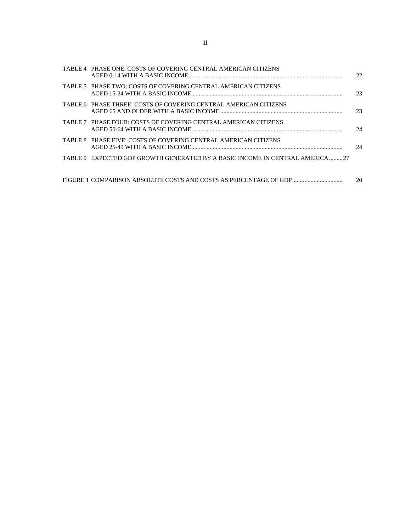| TABLE 4 PHASE ONE: COSTS OF COVERING CENTRAL AMERICAN CITIZENS               | 22. |
|------------------------------------------------------------------------------|-----|
| TABLE 5 PHASE TWO: COSTS OF COVERING CENTRAL AMERICAN CITIZENS               | 23  |
| TABLE 6 PHASE THREE: COSTS OF COVERING CENTRAL AMERICAN CITIZENS             | 23  |
| TABLE 7 PHASE FOUR: COSTS OF COVERING CENTRAL AMERICAN CITIZENS              | 24  |
| TABLE 8 PHASE FIVE: COSTS OF COVERING CENTRAL AMERICAN CITIZENS              | 24  |
| TABLE 9 EXPECTED GDP GROWTH GENERATED BY A BASIC INCOME IN CENTRAL AMERICA27 |     |
| FIGURE 1 COMPARISON ABSOLUTE COSTS AND COSTS AS PERCENTAGE OF GDP            | 20  |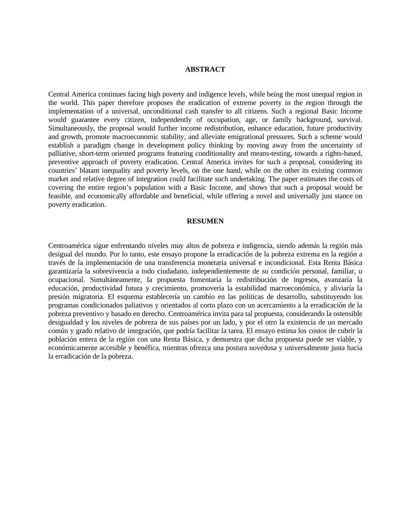## **ABSTRACT**

Central America continues facing high poverty and indigence levels, while being the most unequal region in the world. This paper therefore proposes the eradication of extreme poverty in the region through the implementation of a universal, unconditional cash transfer to all citizens. Such a regional Basic Income would guarantee every citizen, independently of occupation, age, or family background, survival. Simultaneously, the proposal would further income redistribution, enhance education, future productivity and growth, promote macroeconomic stability, and alleviate emigrational pressures. Such a scheme would establish a paradigm change in development policy thinking by moving away from the uncertainty of palliative, short-term oriented programs featuring conditionality and means-testing, towards a rights-based, preventive approach of poverty eradication. Central America invites for such a proposal, considering its countries' blatant inequality and poverty levels, on the one hand, while on the other its existing common market and relative degree of integration could facilitate such undertaking. The paper estimates the costs of covering the entire region's population with a Basic Income, and shows that such a proposal would be feasible, and economically affordable and beneficial, while offering a novel and universally just stance on poverty eradication.

#### **RESUMEN**

Centroamérica sigue enfrentando niveles muy altos de pobreza e indigencia, siendo además la región más desigual del mundo. Por lo tanto, este ensayo propone la erradicación de la pobreza extrema en la región a través de la implementación de una transferencia monetaria universal e incondicional. Esta Renta Básica garantizaría la sobrevivencia a todo ciudadano, independientemente de su condición personal, familiar, u ocupacional. Simultáneamente, la propuesta fomentaría la redistribución de ingresos, avanzaría la educación, productividad futura y crecimiento, promovería la estabilidad macroeconómica, y aliviaría la presión migratoria. El esquema establecería un cambio en las políticas de desarrollo, substituyendo los programas condicionados paliativos y orientados al corto plazo con un acercamiento a la erradicación de la pobreza preventivo y basado en derecho. Centroamérica invita para tal propuesta, considerando la ostensible desigualdad y los niveles de pobreza de sus países por un lado, y por el otro la existencia de un mercado común y grado relativo de integración, que podría facilitar la tarea. El ensayo estima los costos de cubrir la población entera de la región con una Renta Básica, y demuestra que dicha propuesta puede ser viable, y económicamente accesible y benéfica, mientras ofrezca una postura novedosa y universalmente justa hacia la erradicación de la pobreza.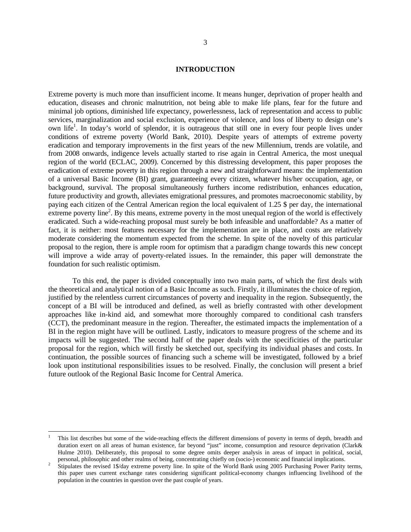#### **INTRODUCTION**

Extreme poverty is much more than insufficient income. It means hunger, deprivation of proper health and education, diseases and chronic malnutrition, not being able to make life plans, fear for the future and minimal job options, diminished life expectancy, powerlessness, lack of representation and access to public services, marginalization and social exclusion, experience of violence, and loss of liberty to design one's own life<sup>1</sup>. In today's world of splendor, it is outrageous that still one in every four people lives under conditions of extreme poverty (World Bank, 2010). Despite years of attempts of extreme poverty eradication and temporary improvements in the first years of the new Millennium, trends are volatile, and from 2008 onwards, indigence levels actually started to rise again in Central America, the most unequal region of the world (ECLAC, 2009). Concerned by this distressing development, this paper proposes the eradication of extreme poverty in this region through a new and straightforward means: the implementation of a universal Basic Income (BI) grant, guaranteeing every citizen, whatever his/her occupation, age, or background, survival. The proposal simultaneously furthers income redistribution, enhances education, future productivity and growth, alleviates emigrational pressures, and promotes macroeconomic stability, by paying each citizen of the Central American region the local equivalent of 1.25 \$ per day, the international extreme poverty line<sup>2</sup>. By this means, extreme poverty in the most unequal region of the world is effectively eradicated. Such a wide-reaching proposal must surely be both infeasible and unaffordable? As a matter of fact, it is neither: most features necessary for the implementation are in place, and costs are relatively moderate considering the momentum expected from the scheme. In spite of the novelty of this particular proposal to the region, there is ample room for optimism that a paradigm change towards this new concept will improve a wide array of poverty-related issues. In the remainder, this paper will demonstrate the foundation for such realistic optimism.

To this end, the paper is divided conceptually into two main parts, of which the first deals with the theoretical and analytical notion of a Basic Income as such. Firstly, it illuminates the choice of region, justified by the relentless current circumstances of poverty and inequality in the region. Subsequently, the concept of a BI will be introduced and defined, as well as briefly contrasted with other development approaches like in-kind aid, and somewhat more thoroughly compared to conditional cash transfers (CCT), the predominant measure in the region. Thereafter, the estimated impacts the implementation of a BI in the region might have will be outlined. Lastly, indicators to measure progress of the scheme and its impacts will be suggested. The second half of the paper deals with the specificities of the particular proposal for the region, which will firstly be sketched out, specifying its individual phases and costs. In continuation, the possible sources of financing such a scheme will be investigated, followed by a brief look upon institutional responsibilities issues to be resolved. Finally, the conclusion will present a brief future outlook of the Regional Basic Income for Central America.

1

<sup>1</sup> This list describes but some of the wide-reaching effects the different dimensions of poverty in terms of depth, breadth and duration exert on all areas of human existence, far beyond "just" income, consumption and resource deprivation (Clark& Hulme 2010). Deliberately, this proposal to some degree omits deeper analysis in areas of impact in political, social, personal, philosophic and other realms of being, concentrating chiefly on (socio-) economic and financial implications. 2

Stipulates the revised 1\$/day extreme poverty line. In spite of the World Bank using 2005 Purchasing Power Parity terms, this paper uses current exchange rates considering significant political-economy changes influencing livelihood of the population in the countries in question over the past couple of years.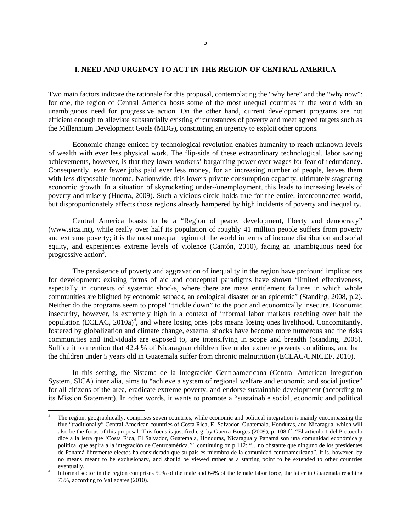#### **I. NEED AND URGENCY TO ACT IN THE REGION OF CENTRAL AMERICA**

Two main factors indicate the rationale for this proposal, contemplating the "why here" and the "why now": for one, the region of Central America hosts some of the most unequal countries in the world with an unambiguous need for progressive action. On the other hand, current development programs are not efficient enough to alleviate substantially existing circumstances of poverty and meet agreed targets such as the Millennium Development Goals (MDG), constituting an urgency to exploit other options.

Economic change enticed by technological revolution enables humanity to reach unknown levels of wealth with ever less physical work. The flip-side of these extraordinary technological, labor saving achievements, however, is that they lower workers' bargaining power over wages for fear of redundancy. Consequently, ever fewer jobs paid ever less money, for an increasing number of people, leaves them with less disposable income. Nationwide, this lowers private consumption capacity, ultimately stagnating economic growth. In a situation of skyrocketing under-/unemployment, this leads to increasing levels of poverty and misery (Huerta, 2009). Such a vicious circle holds true for the entire, interconnected world, but disproportionately affects those regions already hampered by high incidents of poverty and inequality.

Central America boasts to be a "Region of peace, development, liberty and democracy" (www.sica.int), while really over half its population of roughly 41 million people suffers from poverty and extreme poverty; it is the most unequal region of the world in terms of income distribution and social equity, and experiences extreme levels of violence (Cantón, 2010), facing an unambiguous need for progressive action<sup>3</sup>.

The persistence of poverty and aggravation of inequality in the region have profound implications for development: existing forms of aid and conceptual paradigms have shown "limited effectiveness, especially in contexts of systemic shocks, where there are mass entitlement failures in which whole communities are blighted by economic setback, an ecological disaster or an epidemic" (Standing, 2008, p.2). Neither do the programs seem to propel "trickle down" to the poor and economically insecure. Economic insecurity, however, is extremely high in a context of informal labor markets reaching over half the population (ECLAC, 2010a)<sup>4</sup>, and where losing ones jobs means losing ones livelihood. Concomitantly, fostered by globalization and climate change, external shocks have become more numerous and the risks communities and individuals are exposed to, are intensifying in scope and breadth (Standing, 2008). Suffice it to mention that 42.4 % of Nicaraguan children live under extreme poverty conditions, and half the children under 5 years old in Guatemala suffer from chronic malnutrition (ECLAC/UNICEF, 2010).

In this setting, the Sistema de la Integración Centroamericana (Central American Integration System, SICA) inter alia, aims to "achieve a system of regional welfare and economic and social justice" for all citizens of the area, eradicate extreme poverty, and endorse sustainable development (according to its Mission Statement). In other words, it wants to promote a "sustainable social, economic and political

l

<sup>3</sup> The region, geographically, comprises seven countries, while economic and political integration is mainly encompassing the five "traditionally" Central American countries of Costa Rica, El Salvador, Guatemala, Honduras, and Nicaragua, which will also be the focus of this proposal. This focus is justified e.g. by Guerra-Borges (2009), p. 108 ff: "El articulo 1 del Protocolo dice a la letra que 'Costa Rica, El Salvador, Guatemala, Honduras, Nicaragua y Panamá son una comunidad económica y política, que aspira a la integración de Centroamérica.'", continuing on p.112: "…no obstante que ninguno de los presidentes de Panamá libremente electos ha considerado que su país es miembro de la comunidad centroamericana". It is, however, by no means meant to be exclusionary, and should be viewed rather as a starting point to be extended to other countries eventually.

Informal sector in the region comprises 50% of the male and 64% of the female labor force, the latter in Guatemala reaching 73%, according to Valladares (2010).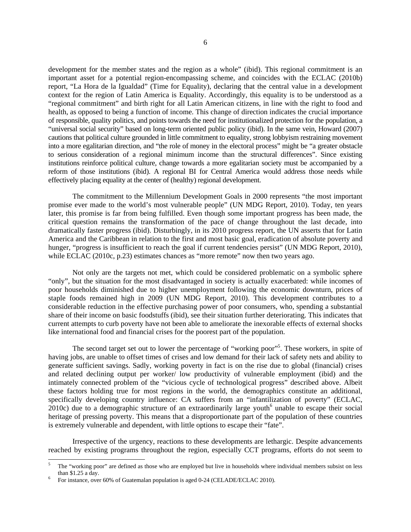development for the member states and the region as a whole" (ibid). This regional commitment is an important asset for a potential region-encompassing scheme, and coincides with the ECLAC (2010b) report, "La Hora de la Igualdad" (Time for Equality), declaring that the central value in a development context for the region of Latin America is Equality. Accordingly, this equality is to be understood as a "regional commitment" and birth right for all Latin American citizens, in line with the right to food and health, as opposed to being a function of income. This change of direction indicates the crucial importance of responsible, quality politics, and points towards the need for institutionalized protection for the population, a "universal social security" based on long-term oriented public policy (ibid). In the same vein, Howard (2007) cautions that political culture grounded in little commitment to equality, strong lobbyism restraining movement into a more egalitarian direction, and "the role of money in the electoral process" might be "a greater obstacle to serious consideration of a regional minimum income than the structural differences". Since existing institutions reinforce political culture, change towards a more egalitarian society must be accompanied by a reform of those institutions (ibid). A regional BI for Central America would address those needs while effectively placing equality at the center of (healthy) regional development.

The commitment to the Millennium Development Goals in 2000 represents "the most important promise ever made to the world's most vulnerable people" (UN MDG Report, 2010). Today, ten years later, this promise is far from being fulfilled. Even though some important progress has been made, the critical question remains the transformation of the pace of change throughout the last decade, into dramatically faster progress (ibid). Disturbingly, in its 2010 progress report, the UN asserts that for Latin America and the Caribbean in relation to the first and most basic goal, eradication of absolute poverty and hunger, "progress is insufficient to reach the goal if current tendencies persist" (UN MDG Report, 2010), while ECLAC (2010c, p.23) estimates chances as "more remote" now then two years ago.

Not only are the targets not met, which could be considered problematic on a symbolic sphere "only", but the situation for the most disadvantaged in society is actually exacerbated: while incomes of poor households diminished due to higher unemployment following the economic downturn, prices of staple foods remained high in 2009 (UN MDG Report, 2010). This development contributes to a considerable reduction in the effective purchasing power of poor consumers, who, spending a substantial share of their income on basic foodstuffs (ibid), see their situation further deteriorating. This indicates that current attempts to curb poverty have not been able to ameliorate the inexorable effects of external shocks like international food and financial crises for the poorest part of the population.

The second target set out to lower the percentage of "working poor"<sup>5</sup>. These workers, in spite of having jobs, are unable to offset times of crises and low demand for their lack of safety nets and ability to generate sufficient savings. Sadly, working poverty in fact is on the rise due to global (financial) crises and related declining output per worker/ low productivity of vulnerable employment (ibid) and the intimately connected problem of the "vicious cycle of technological progress" described above. Albeit these factors holding true for most regions in the world, the demographics constitute an additional, specifically developing country influence: CA suffers from an "infantilization of poverty" (ECLAC,  $2010c$ ) due to a demographic structure of an extraordinarily large youth<sup>6</sup> unable to escape their social heritage of pressing poverty. This means that a disproportionate part of the population of these countries is extremely vulnerable and dependent, with little options to escape their "fate".

Irrespective of the urgency, reactions to these developments are lethargic. Despite advancements reached by existing programs throughout the region, especially CCT programs, efforts do not seem to

-

<sup>5</sup> The "working poor" are defined as those who are employed but live in households where individual members subsist on less than  $$1.25$  a day.

For instance, over 60% of Guatemalan population is aged 0-24 (CELADE/ECLAC 2010).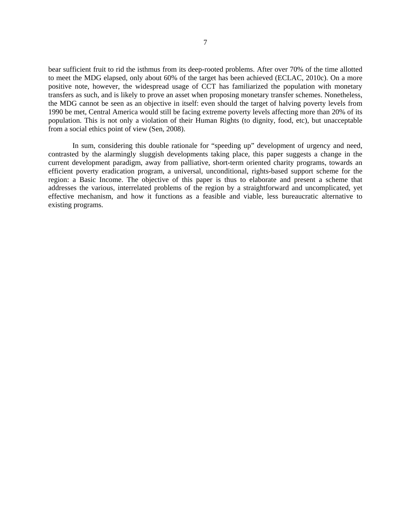bear sufficient fruit to rid the isthmus from its deep-rooted problems. After over 70% of the time allotted to meet the MDG elapsed, only about 60% of the target has been achieved (ECLAC, 2010c). On a more positive note, however, the widespread usage of CCT has familiarized the population with monetary transfers as such, and is likely to prove an asset when proposing monetary transfer schemes. Nonetheless, the MDG cannot be seen as an objective in itself: even should the target of halving poverty levels from 1990 be met, Central America would still be facing extreme poverty levels affecting more than 20% of its population. This is not only a violation of their Human Rights (to dignity, food, etc), but unacceptable from a social ethics point of view (Sen, 2008).

In sum, considering this double rationale for "speeding up" development of urgency and need, contrasted by the alarmingly sluggish developments taking place, this paper suggests a change in the current development paradigm, away from palliative, short-term oriented charity programs, towards an efficient poverty eradication program, a universal, unconditional, rights-based support scheme for the region: a Basic Income. The objective of this paper is thus to elaborate and present a scheme that addresses the various, interrelated problems of the region by a straightforward and uncomplicated, yet effective mechanism, and how it functions as a feasible and viable, less bureaucratic alternative to existing programs.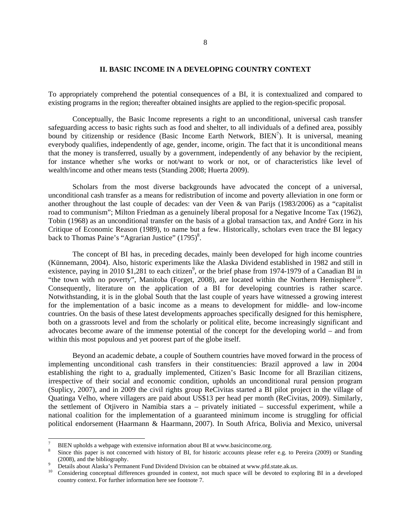#### **II. BASIC INCOME IN A DEVELOPING COUNTRY CONTEXT**

To appropriately comprehend the potential consequences of a BI, it is contextualized and compared to existing programs in the region; thereafter obtained insights are applied to the region-specific proposal.

Conceptually, the Basic Income represents a right to an unconditional, universal cash transfer safeguarding access to basic rights such as food and shelter, to all individuals of a defined area, possibly bound by citizenship or residence (Basic Income Earth Network, BIEN<sup>7</sup>). It is universal, meaning everybody qualifies, independently of age, gender, income, origin. The fact that it is unconditional means that the money is transferred, usually by a government, independently of any behavior by the recipient, for instance whether s/he works or not/want to work or not, or of characteristics like level of wealth/income and other means tests (Standing 2008; Huerta 2009).

Scholars from the most diverse backgrounds have advocated the concept of a universal, unconditional cash transfer as a means for redistribution of income and poverty alleviation in one form or another throughout the last couple of decades: van der Veen & van Parijs (1983/2006) as a "capitalist road to communism"; Milton Friedman as a genuinely liberal proposal for a Negative Income Tax (1962), Tobin (1968) as an unconditional transfer on the basis of a global transaction tax, and André Gorz in his Critique of Economic Reason (1989), to name but a few. Historically, scholars even trace the BI legacy back to Thomas Paine's "Agrarian Justice"  $(1795)^8$ .

The concept of BI has, in preceding decades, mainly been developed for high income countries (Künnemann, 2004). Also, historic experiments like the Alaska Dividend established in 1982 and still in existence, paying in 2010 \$1,281 to each citizen<sup>9</sup>, or the brief phase from 1974-1979 of a Canadian BI in "the town with no poverty", Manitoba (Forget, 2008), are located within the Northern Hemisphere<sup>10</sup>. Consequently, literature on the application of a BI for developing countries is rather scarce. Notwithstanding, it is in the global South that the last couple of years have witnessed a growing interest for the implementation of a basic income as a means to development for middle- and low-income countries. On the basis of these latest developments approaches specifically designed for this hemisphere, both on a grassroots level and from the scholarly or political elite, become increasingly significant and advocates become aware of the immense potential of the concept for the developing world – and from within this most populous and yet poorest part of the globe itself.

Beyond an academic debate, a couple of Southern countries have moved forward in the process of implementing unconditional cash transfers in their constituencies: Brazil approved a law in 2004 establishing the right to a, gradually implemented, Citizen's Basic Income for all Brazilian citizens, irrespective of their social and economic condition, upholds an unconditional rural pension program (Suplicy, 2007), and in 2009 the civil rights group ReCivitas started a BI pilot project in the village of Quatinga Velho, where villagers are paid about US\$13 per head per month (ReCivitas, 2009). Similarly, the settlement of Otjivero in Namibia stars a – privately initiated – successful experiment, while a national coalition for the implementation of a guaranteed minimum income is struggling for official political endorsement (Haarmann & Haarmann, 2007). In South Africa, Bolivia and Mexico, universal

l

<sup>7</sup> BIEN upholds a webpage with extensive information about BI at www.basicincome.org. 8

Since this paper is not concerned with history of BI, for historic accounts please refer e.g. to Pereira (2009) or Standing (2008), and the bibliography.<br>Details about Alaska's Permanent Fund Dividend Division can be obtained at www.pfd.state.ak.us.

<sup>&</sup>lt;sup>10</sup> Considering conceptual differences grounded in context, not much space will be devoted to exploring BI in a developed country context. For further information here see footnote 7.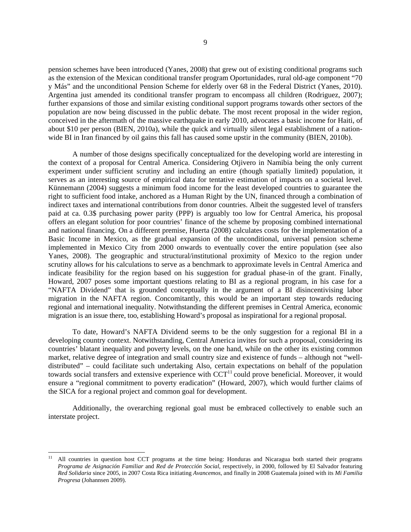pension schemes have been introduced (Yanes, 2008) that grew out of existing conditional programs such as the extension of the Mexican conditional transfer program Oportunidades, rural old-age component "70 y Más" and the unconditional Pension Scheme for elderly over 68 in the Federal District (Yanes, 2010). Argentina just amended its conditional transfer program to encompass all children (Rodriguez, 2007); further expansions of those and similar existing conditional support programs towards other sectors of the population are now being discussed in the public debate. The most recent proposal in the wider region, conceived in the aftermath of the massive earthquake in early 2010, advocates a basic income for Haiti, of about \$10 per person (BIEN, 2010a), while the quick and virtually silent legal establishment of a nationwide BI in Iran financed by oil gains this fall has caused some upstir in the community (BIEN, 2010b).

A number of those designs specifically conceptualized for the developing world are interesting in the context of a proposal for Central America. Considering Otjivero in Namibia being the only current experiment under sufficient scrutiny and including an entire (though spatially limited) population, it serves as an interesting source of empirical data for tentative estimation of impacts on a societal level. Künnemann (2004) suggests a minimum food income for the least developed countries to guarantee the right to sufficient food intake, anchored as a Human Right by the UN, financed through a combination of indirect taxes and international contributions from donor countries. Albeit the suggested level of transfers paid at ca. 0.3\$ purchasing power parity (PPP) is arguably too low for Central America, his proposal offers an elegant solution for poor countries' finance of the scheme by proposing combined international and national financing. On a different premise, Huerta (2008) calculates costs for the implementation of a Basic Income in Mexico, as the gradual expansion of the unconditional, universal pension scheme implemented in Mexico City from 2000 onwards to eventually cover the entire population (see also Yanes, 2008). The geographic and structural/institutional proximity of Mexico to the region under scrutiny allows for his calculations to serve as a benchmark to approximate levels in Central America and indicate feasibility for the region based on his suggestion for gradual phase-in of the grant. Finally, Howard, 2007 poses some important questions relating to BI as a regional program, in his case for a "NAFTA Dividend" that is grounded conceptually in the argument of a BI disincentivising labor migration in the NAFTA region. Concomitantly, this would be an important step towards reducing regional and international inequality. Notwithstanding the different premises in Central America, economic migration is an issue there, too, establishing Howard's proposal as inspirational for a regional proposal.

To date, Howard's NAFTA Dividend seems to be the only suggestion for a regional BI in a developing country context. Notwithstanding, Central America invites for such a proposal, considering its countries' blatant inequality and poverty levels, on the one hand, while on the other its existing common market, relative degree of integration and small country size and existence of funds – although not "welldistributed" – could facilitate such undertaking Also, certain expectations on behalf of the population towards social transfers and extensive experience with  $CCT<sup>11</sup>$  could prove beneficial. Moreover, it would ensure a "regional commitment to poverty eradication" (Howard, 2007), which would further claims of the SICA for a regional project and common goal for development.

Additionally, the overarching regional goal must be embraced collectively to enable such an interstate project.

 $11$ 11 All countries in question host CCT programs at the time being: Honduras and Nicaragua both started their programs *Programa de Asignación Familiar* and *Red de Protección Social*, respectively, in 2000, followed by El Salvador featuring *Red Solidaria* since 2005, in 2007 Costa Rica initiating *Avancemos*, and finally in 2008 Guatemala joined with its *Mi Familia Progresa* (Johannsen 2009).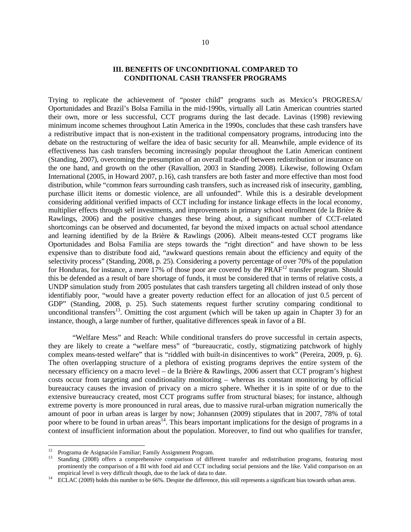## **III. BENEFITS OF UNCONDITIONAL COMPARED TO CONDITIONAL CASH TRANSFER PROGRAMS**

Trying to replicate the achievement of "poster child" programs such as Mexico's PROGRESA/ Oportunidades and Brazil's Bolsa Familia in the mid-1990s, virtually all Latin American countries started their own, more or less successful, CCT programs during the last decade. Lavinas (1998) reviewing minimum income schemes throughout Latin America in the 1990s, concludes that these cash transfers have a redistributive impact that is non-existent in the traditional compensatory programs, introducing into the debate on the restructuring of welfare the idea of basic security for all. Meanwhile, ample evidence of its effectiveness has cash transfers becoming increasingly popular throughout the Latin American continent (Standing, 2007), overcoming the presumption of an overall trade-off between redistribution or insurance on the one hand, and growth on the other (Ravallion, 2003 in Standing 2008). Likewise, following Oxfam International (2005, in Howard 2007, p.16), cash transfers are both faster and more effective than most food distribution, while "common fears surrounding cash transfers, such as increased risk of insecurity, gambling, purchase illicit items or domestic violence, are all unfounded". While this is a desirable development considering additional verified impacts of CCT including for instance linkage effects in the local economy, multiplier effects through self investments, and improvements in primary school enrollment (de la Brière & Rawlings, 2006) and the positive changes these bring about, a significant number of CCT-related shortcomings can be observed and documented, far beyond the mixed impacts on actual school attendance and learning identified by de la Brière & Rawlings (2006). Albeit means-tested CCT programs like Oportunidades and Bolsa Familia are steps towards the "right direction" and have shown to be less expensive than to distribute food aid, "awkward questions remain about the efficiency and equity of the selectivity process" (Standing, 2008, p. 25). Considering a poverty percentage of over 70% of the population for Honduras, for instance, a mere 17% of those poor are covered by the PRAF<sup>12</sup> transfer program. Should this be defended as a result of bare shortage of funds, it must be considered that in terms of relative costs, a UNDP simulation study from 2005 postulates that cash transfers targeting all children instead of only those identifiably poor, "would have a greater poverty reduction effect for an allocation of just 0.5 percent of GDP" (Standing, 2008, p. 25). Such statements request further scrutiny comparing conditional to unconditional transfers<sup>13</sup>. Omitting the cost argument (which will be taken up again in Chapter 3) for an instance, though, a large number of further, qualitative differences speak in favor of a BI.

"Welfare Mess" and Reach: While conditional transfers do prove successful in certain aspects, they are likely to create a "welfare mess" of "bureaucratic, costly, stigmatizing patchwork of highly complex means-tested welfare" that is "riddled with built-in disincentives to work" (Pereira, 2009, p. 6). The often overlapping structure of a plethora of existing programs deprives the entire system of the necessary efficiency on a macro level – de la Brière & Rawlings, 2006 assert that CCT program's highest costs occur from targeting and conditionality monitoring – whereas its constant monitoring by official bureaucracy causes the invasion of privacy on a micro sphere. Whether it is in spite of or due to the extensive bureaucracy created, most CCT programs suffer from structural biases; for instance, although extreme poverty is more pronounced in rural areas, due to massive rural-urban migration numerically the amount of poor in urban areas is larger by now; Johannsen (2009) stipulates that in 2007, 78% of total poor where to be found in urban areas<sup>14</sup>. This bears important implications for the design of programs in a context of insufficient information about the population. Moreover, to find out who qualifies for transfer,

-

<sup>12</sup> Programa de Asignación Familiar; Family Assignment Program.

Standing (2008) offers a comprehensive comparison of different transfer and redistribution programs, featuring most prominently the comparison of a BI with food aid and CCT including social pensions and the like. Valid comparison on an empirical level is very difficult though, due to the lack of data to date.<br><sup>14</sup> ECLAC (2009) holds this number to be 66%. Despite the difference, this still represents a significant bias towards urban areas.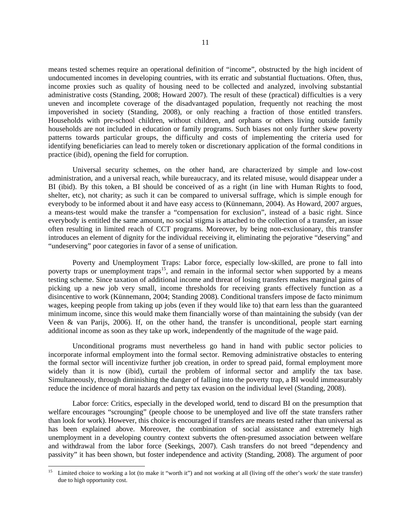means tested schemes require an operational definition of "income", obstructed by the high incident of undocumented incomes in developing countries, with its erratic and substantial fluctuations. Often, thus, income proxies such as quality of housing need to be collected and analyzed, involving substantial administrative costs (Standing, 2008; Howard 2007). The result of these (practical) difficulties is a very uneven and incomplete coverage of the disadvantaged population, frequently not reaching the most impoverished in society (Standing, 2008), or only reaching a fraction of those entitled transfers. Households with pre-school children, without children, and orphans or others living outside family households are not included in education or family programs. Such biases not only further skew poverty patterns towards particular groups, the difficulty and costs of implementing the criteria used for identifying beneficiaries can lead to merely token or discretionary application of the formal conditions in practice (ibid), opening the field for corruption.

Universal security schemes, on the other hand, are characterized by simple and low-cost administration, and a universal reach, while bureaucracy, and its related misuse, would disappear under a BI (ibid). By this token, a BI should be conceived of as a right (in line with Human Rights to food, shelter, etc), not charity; as such it can be compared to universal suffrage, which is simple enough for everybody to be informed about it and have easy access to (Künnemann, 2004). As Howard, 2007 argues, a means-test would make the transfer a "compensation for exclusion", instead of a basic right. Since everybody is entitled the same amount, no social stigma is attached to the collection of a transfer, an issue often resulting in limited reach of CCT programs. Moreover, by being non-exclusionary, this transfer introduces an element of dignity for the individual receiving it, eliminating the pejorative "deserving" and "undeserving" poor categories in favor of a sense of unification.

Poverty and Unemployment Traps: Labor force, especially low-skilled, are prone to fall into poverty traps or unemployment traps<sup>15</sup>, and remain in the informal sector when supported by a means testing scheme. Since taxation of additional income and threat of losing transfers makes marginal gains of picking up a new job very small, income thresholds for receiving grants effectively function as a disincentive to work (Künnemann, 2004; Standing 2008). Conditional transfers impose de facto minimum wages, keeping people from taking up jobs (even if they would like to) that earn less than the guaranteed minimum income, since this would make them financially worse of than maintaining the subsidy (van der Veen & van Parijs, 2006). If, on the other hand, the transfer is unconditional, people start earning additional income as soon as they take up work, independently of the magnitude of the wage paid.

Unconditional programs must nevertheless go hand in hand with public sector policies to incorporate informal employment into the formal sector. Removing administrative obstacles to entering the formal sector will incentivize further job creation, in order to spread paid, formal employment more widely than it is now (ibid), curtail the problem of informal sector and amplify the tax base. Simultaneously, through diminishing the danger of falling into the poverty trap, a BI would immeasurably reduce the incidence of moral hazards and petty tax evasion on the individual level (Standing, 2008).

Labor force: Critics, especially in the developed world, tend to discard BI on the presumption that welfare encourages "scrounging" (people choose to be unemployed and live off the state transfers rather than look for work). However, this choice is encouraged if transfers are means tested rather than universal as has been explained above. Moreover, the combination of social assistance and extremely high unemployment in a developing country context subverts the often-presumed association between welfare and withdrawal from the labor force (Seekings, 2007). Cash transfers do not breed "dependency and passivity" it has been shown, but foster independence and activity (Standing, 2008). The argument of poor

<sup>15</sup> Limited choice to working a lot (to make it "worth it") and not working at all (living off the other's work/ the state transfer) due to high opportunity cost.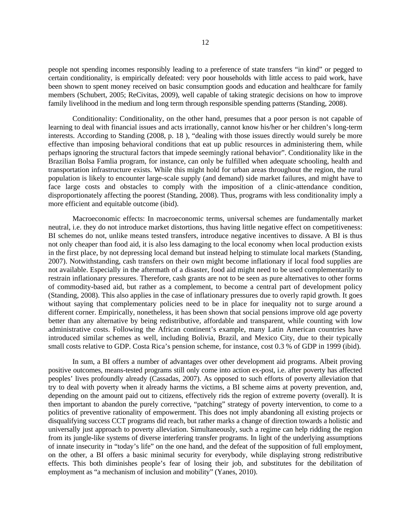people not spending incomes responsibly leading to a preference of state transfers "in kind" or pegged to certain conditionality, is empirically defeated: very poor households with little access to paid work, have been shown to spent money received on basic consumption goods and education and healthcare for family members (Schubert, 2005; ReCivitas, 2009), well capable of taking strategic decisions on how to improve family livelihood in the medium and long term through responsible spending patterns (Standing, 2008).

Conditionality: Conditionality, on the other hand, presumes that a poor person is not capable of learning to deal with financial issues and acts irrationally, cannot know his/her or her children's long-term interests. According to Standing (2008, p. 18 ), "dealing with those issues directly would surely be more effective than imposing behavioral conditions that eat up public resources in administering them, while perhaps ignoring the structural factors that impede seemingly rational behavior". Conditionality like in the Brazilian Bolsa Famlia program, for instance, can only be fulfilled when adequate schooling, health and transportation infrastructure exists. While this might hold for urban areas throughout the region, the rural population is likely to encounter large-scale supply (and demand) side market failures, and might have to face large costs and obstacles to comply with the imposition of a clinic-attendance condition, disproportionately affecting the poorest (Standing, 2008). Thus, programs with less conditionality imply a more efficient and equitable outcome (ibid).

Macroeconomic effects: In macroeconomic terms, universal schemes are fundamentally market neutral, i.e. they do not introduce market distortions, thus having little negative effect on competitiveness: BI schemes do not, unlike means tested transfers, introduce negative incentives to dissave. A BI is thus not only cheaper than food aid, it is also less damaging to the local economy when local production exists in the first place, by not depressing local demand but instead helping to stimulate local markets (Standing, 2007). Notwithstanding, cash transfers on their own might become inflationary if local food supplies are not available. Especially in the aftermath of a disaster, food aid might need to be used complementarily to restrain inflationary pressures. Therefore, cash grants are not to be seen as pure alternatives to other forms of commodity-based aid, but rather as a complement, to become a central part of development policy (Standing, 2008). This also applies in the case of inflationary pressures due to overly rapid growth. It goes without saying that complementary policies need to be in place for inequality not to surge around a different corner. Empirically, nonetheless, it has been shown that social pensions improve old age poverty better than any alternative by being redistributive, affordable and transparent, while counting with low administrative costs. Following the African continent's example, many Latin American countries have introduced similar schemes as well, including Bolivia, Brazil, and Mexico City, due to their typically small costs relative to GDP. Costa Rica's pension scheme, for instance, cost 0.3 % of GDP in 1999 (ibid).

In sum, a BI offers a number of advantages over other development aid programs. Albeit proving positive outcomes, means-tested programs still only come into action ex-post, i.e. after poverty has affected peoples' lives profoundly already (Cassadas, 2007). As opposed to such efforts of poverty alleviation that try to deal with poverty when it already harms the victims, a BI scheme aims at poverty prevention, and, depending on the amount paid out to citizens, effectively rids the region of extreme poverty (overall). It is then important to abandon the purely corrective, "patching" strategy of poverty intervention, to come to a politics of preventive rationality of empowerment. This does not imply abandoning all existing projects or disqualifying success CCT programs did reach, but rather marks a change of direction towards a holistic and universally just approach to poverty alleviation. Simultaneously, such a regime can help ridding the region from its jungle-like systems of diverse interfering transfer programs. In light of the underlying assumptions of innate insecurity in "today's life" on the one hand, and the defeat of the supposition of full employment, on the other, a BI offers a basic minimal security for everybody, while displaying strong redistributive effects. This both diminishes people's fear of losing their job, and substitutes for the debilitation of employment as "a mechanism of inclusion and mobility" (Yanes, 2010).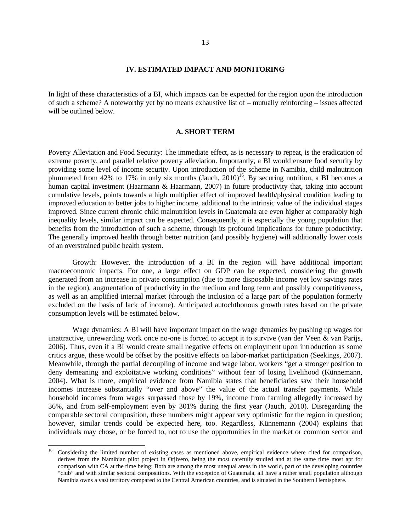#### **IV. ESTIMATED IMPACT AND MONITORING**

In light of these characteristics of a BI, which impacts can be expected for the region upon the introduction of such a scheme? A noteworthy yet by no means exhaustive list of – mutually reinforcing – issues affected will be outlined below.

#### **A. SHORT TERM**

Poverty Alleviation and Food Security: The immediate effect, as is necessary to repeat, is the eradication of extreme poverty, and parallel relative poverty alleviation. Importantly, a BI would ensure food security by providing some level of income security. Upon introduction of the scheme in Namibia, child malnutrition plummeted from 42% to 17% in only six months  $(Jauch, 2010)^{16}$ . By securing nutrition, a BI becomes a human capital investment (Haarmann & Haarmann, 2007) in future productivity that, taking into account cumulative levels, points towards a high multiplier effect of improved health/physical condition leading to improved education to better jobs to higher income, additional to the intrinsic value of the individual stages improved. Since current chronic child malnutrition levels in Guatemala are even higher at comparably high inequality levels, similar impact can be expected. Consequently, it is especially the young population that benefits from the introduction of such a scheme, through its profound implications for future productivity. The generally improved health through better nutrition (and possibly hygiene) will additionally lower costs of an overstrained public health system.

Growth: However, the introduction of a BI in the region will have additional important macroeconomic impacts. For one, a large effect on GDP can be expected, considering the growth generated from an increase in private consumption (due to more disposable income yet low savings rates in the region), augmentation of productivity in the medium and long term and possibly competitiveness, as well as an amplified internal market (through the inclusion of a large part of the population formerly excluded on the basis of lack of income). Anticipated autochthonous growth rates based on the private consumption levels will be estimated below.

Wage dynamics: A BI will have important impact on the wage dynamics by pushing up wages for unattractive, unrewarding work once no-one is forced to accept it to survive (van der Veen & van Parijs, 2006). Thus, even if a BI would create small negative effects on employment upon introduction as some critics argue, these would be offset by the positive effects on labor-market participation (Seekings, 2007). Meanwhile, through the partial decoupling of income and wage labor, workers "get a stronger position to deny demeaning and exploitative working conditions" without fear of losing livelihood (Künnemann, 2004). What is more, empirical evidence from Namibia states that beneficiaries saw their household incomes increase substantially "over and above" the value of the actual transfer payments. While household incomes from wages surpassed those by 19%, income from farming allegedly increased by 36%, and from self-employment even by 301% during the first year (Jauch, 2010). Disregarding the comparable sectoral composition, these numbers might appear very optimistic for the region in question; however, similar trends could be expected here, too. Regardless, Künnemann (2004) explains that individuals may chose, or be forced to, not to use the opportunities in the market or common sector and

l

<sup>&</sup>lt;sup>16</sup> Considering the limited number of existing cases as mentioned above, empirical evidence where cited for comparison, derives from the Namibian pilot project in Otjivero, being the most carefully studied and at the same time most apt for comparison with CA at the time being: Both are among the most unequal areas in the world, part of the developing countries "club" and with similar sectoral compositions. With the exception of Guatemala, all have a rather small population although Namibia owns a vast territory compared to the Central American countries, and is situated in the Southern Hemisphere.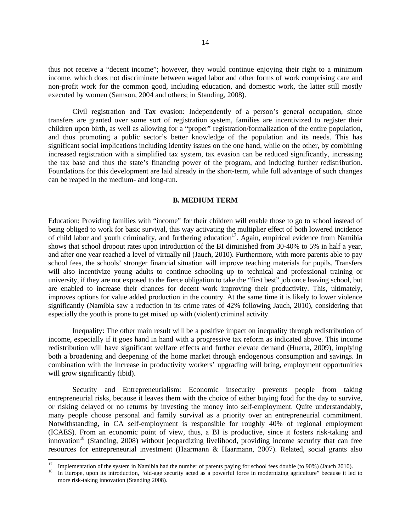thus not receive a "decent income"; however, they would continue enjoying their right to a minimum income, which does not discriminate between waged labor and other forms of work comprising care and non-profit work for the common good, including education, and domestic work, the latter still mostly executed by women (Samson, 2004 and others; in Standing, 2008).

Civil registration and Tax evasion: Independently of a person's general occupation, since transfers are granted over some sort of registration system, families are incentivized to register their children upon birth, as well as allowing for a "proper" registration/formalization of the entire population, and thus promoting a public sector's better knowledge of the population and its needs. This has significant social implications including identity issues on the one hand, while on the other, by combining increased registration with a simplified tax system, tax evasion can be reduced significantly, increasing the tax base and thus the state's financing power of the program, and inducing further redistribution. Foundations for this development are laid already in the short-term, while full advantage of such changes can be reaped in the medium- and long-run.

## **B. MEDIUM TERM**

Education: Providing families with "income" for their children will enable those to go to school instead of being obliged to work for basic survival, this way activating the multiplier effect of both lowered incidence of child labor and youth criminality, and furthering education<sup>17</sup>. Again, empirical evidence from Namibia shows that school dropout rates upon introduction of the BI diminished from 30-40% to 5% in half a year, and after one year reached a level of virtually nil (Jauch, 2010). Furthermore, with more parents able to pay school fees, the schools' stronger financial situation will improve teaching materials for pupils. Transfers will also incentivize young adults to continue schooling up to technical and professional training or university, if they are not exposed to the fierce obligation to take the "first best" job once leaving school, but are enabled to increase their chances for decent work improving their productivity. This, ultimately, improves options for value added production in the country. At the same time it is likely to lower violence significantly (Namibia saw a reduction in its crime rates of 42% following Jauch, 2010), considering that especially the youth is prone to get mixed up with (violent) criminal activity.

Inequality: The other main result will be a positive impact on inequality through redistribution of income, especially if it goes hand in hand with a progressive tax reform as indicated above. This income redistribution will have significant welfare effects and further elevate demand (Huerta, 2009), implying both a broadening and deepening of the home market through endogenous consumption and savings. In combination with the increase in productivity workers' upgrading will bring, employment opportunities will grow significantly (ibid).

Security and Entrepreneurialism: Economic insecurity prevents people from taking entrepreneurial risks, because it leaves them with the choice of either buying food for the day to survive, or risking delayed or no returns by investing the money into self-employment. Quite understandably, many people choose personal and family survival as a priority over an entrepreneurial commitment. Notwithstanding, in CA self-employment is responsible for roughly 40% of regional employment (ICAES). From an economic point of view, thus, a BI is productive, since it fosters risk-taking and innovation<sup>18</sup> (Standing, 2008) without jeopardizing livelihood, providing income security that can free resources for entrepreneurial investment (Haarmann & Haarmann, 2007). Related, social grants also

-

Implementation of the system in Namibia had the number of parents paying for school fees double (to 90%) (Jauch 2010).<br>In Europe, upon its introduction, "old-age security acted as a powerful force in modernizing agricultur

more risk-taking innovation (Standing 2008).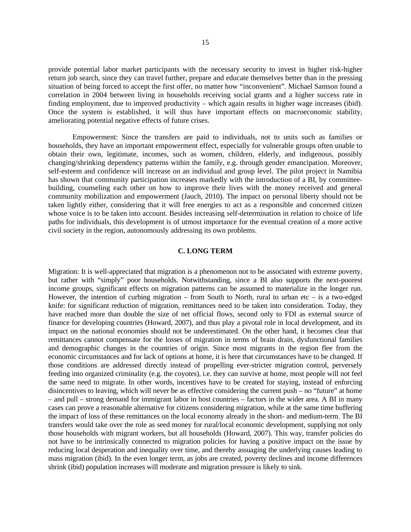provide potential labor market participants with the necessary security to invest in higher risk-higher return job search, since they can travel further, prepare and educate themselves better than in the pressing situation of being forced to accept the first offer, no matter how "inconvenient". Michael Samson found a correlation in 2004 between living in households receiving social grants and a higher success rate in finding employment, due to improved productivity – which again results in higher wage increases (ibid). Once the system is established, it will thus have important effects on macroeconomic stability, ameliorating potential negative effects of future crises.

Empowerment: Since the transfers are paid to individuals, not to units such as families or households, they have an important empowerment effect, especially for vulnerable groups often unable to obtain their own, legitimate, incomes, such as women, children, elderly, and indigenous, possibly changing/shrinking dependency patterns within the family, e.g. through gender emancipation. Moreover, self-esteem and confidence will increase on an individual and group level. The pilot project in Namibia has shown that community participation increases markedly with the introduction of a BI, by committeebuilding, counseling each other on how to improve their lives with the money received and general community mobilization and empowerment (Jauch, 2010). The impact on personal liberty should not be taken lightly either, considering that it will free energies to act as a responsible and concerned citizen whose voice is to be taken into account. Besides increasing self-determination in relation to choice of life paths for individuals, this development is of utmost importance for the eventual creation of a more active civil society in the region, autonomously addressing its own problems.

## **C. LONG TERM**

Migration: It is well-appreciated that migration is a phenomenon not to be associated with extreme poverty, but rather with "simply" poor households. Notwithstanding, since a BI also supports the next-poorest income groups, significant effects on migration patterns can be assumed to materialize in the longer run. However, the intention of curbing migration – from South to North, rural to urban etc – is a two-edged knife: for significant reduction of migration, remittances need to be taken into consideration. Today, they have reached more than double the size of net official flows, second only to FDI as external source of finance for developing countries (Howard, 2007), and thus play a pivotal role in local development, and its impact on the national economies should not be underestimated. On the other hand, it becomes clear that remittances cannot compensate for the losses of migration in terms of brain drain, dysfunctional families and demographic changes in the countries of origin. Since most migrants in the region flee from the economic circumstances and for lack of options at home, it is here that circumstances have to be changed. If those conditions are addressed directly instead of propelling ever-stricter migration control, perversely feeding into organized criminality (e.g. the coyotes), i.e. they can survive at home, most people will not feel the same need to migrate. In other words, incentives have to be created for staying, instead of enforcing disincentives to leaving, which will never be as effective considering the current push – no "future" at home – and pull – strong demand for immigrant labor in host countries – factors in the wider area. A BI in many cases can prove a reasonable alternative for citizens considering migration, while at the same time buffering the impact of loss of these remittances on the local economy already in the short- and medium-term. The BI transfers would take over the role as seed money for rural/local economic development, supplying not only those households with migrant workers, but all households (Howard, 2007). This way, transfer policies do not have to be intrinsically connected to migration policies for having a positive impact on the issue by reducing local desperation and inequality over time, and thereby assuaging the underlying causes leading to mass migration (ibid). In the even longer term, as jobs are created, poverty declines and income differences shrink (ibid) population increases will moderate and migration pressure is likely to sink.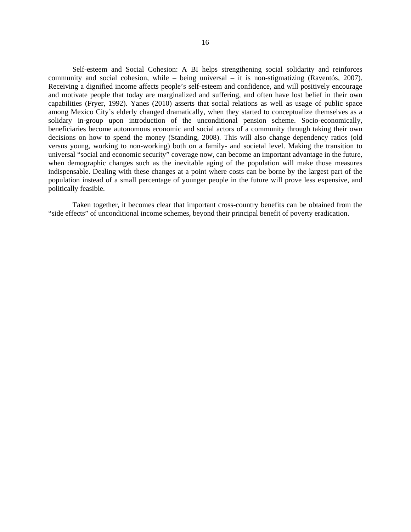Self-esteem and Social Cohesion: A BI helps strengthening social solidarity and reinforces community and social cohesion, while – being universal – it is non-stigmatizing (Raventós, 2007). Receiving a dignified income affects people's self-esteem and confidence, and will positively encourage and motivate people that today are marginalized and suffering, and often have lost belief in their own capabilities (Fryer, 1992). Yanes (2010) asserts that social relations as well as usage of public space among Mexico City's elderly changed dramatically, when they started to conceptualize themselves as a solidary in-group upon introduction of the unconditional pension scheme. Socio-economically, beneficiaries become autonomous economic and social actors of a community through taking their own decisions on how to spend the money (Standing, 2008). This will also change dependency ratios (old versus young, working to non-working) both on a family- and societal level. Making the transition to universal "social and economic security" coverage now, can become an important advantage in the future, when demographic changes such as the inevitable aging of the population will make those measures indispensable. Dealing with these changes at a point where costs can be borne by the largest part of the population instead of a small percentage of younger people in the future will prove less expensive, and politically feasible.

Taken together, it becomes clear that important cross-country benefits can be obtained from the "side effects" of unconditional income schemes, beyond their principal benefit of poverty eradication.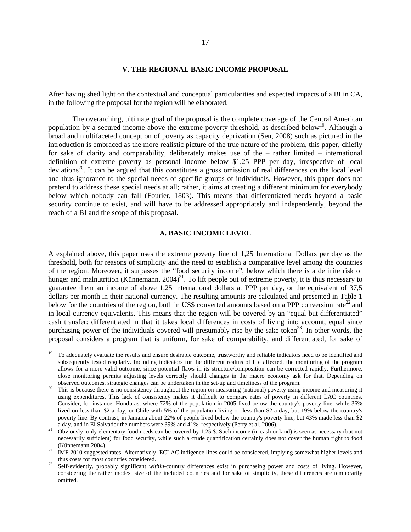#### **V. THE REGIONAL BASIC INCOME PROPOSAL**

After having shed light on the contextual and conceptual particularities and expected impacts of a BI in CA, in the following the proposal for the region will be elaborated.

The overarching, ultimate goal of the proposal is the complete coverage of the Central American population by a secured income above the extreme poverty threshold, as described below<sup>19</sup>. Although a broad and multifaceted conception of poverty as capacity deprivation (Sen, 2008) such as pictured in the introduction is embraced as the more realistic picture of the true nature of the problem, this paper, chiefly for sake of clarity and comparability, deliberately makes use of the – rather limited – international definition of extreme poverty as personal income below \$1,25 PPP per day, irrespective of local deviations<sup>20</sup>. It can be argued that this constitutes a gross omission of real differences on the local level and thus ignorance to the special needs of specific groups of individuals. However, this paper does not pretend to address these special needs at all; rather, it aims at creating a different minimum for everybody below which nobody can fall (Fourier, 1803). This means that differentiated needs beyond a basic security continue to exist, and will have to be addressed appropriately and independently, beyond the reach of a BI and the scope of this proposal.

#### **A. BASIC INCOME LEVEL**

A explained above, this paper uses the extreme poverty line of 1,25 International Dollars per day as the threshold, both for reasons of simplicity and the need to establish a comparative level among the countries of the region. Moreover, it surpasses the "food security income", below which there is a definite risk of hunger and malnutrition (Künnemann,  $2004$ )<sup>21</sup>. To lift people out of extreme poverty, it is thus necessary to guarantee them an income of above 1,25 international dollars at PPP per day, or the equivalent of 37,5 dollars per month in their national currency. The resulting amounts are calculated and presented in Table 1 below for the countries of the region, both in US\$ converted amounts based on a PPP conversion rate<sup>22</sup> and in local currency equivalents. This means that the region will be covered by an "equal but differentiated" cash transfer: differentiated in that it takes local differences in costs of living into account, equal since purchasing power of the individuals covered will presumably rise by the sake token<sup>23</sup>. In other words, the proposal considers a program that is uniform, for sake of comparability, and differentiated, for sake of

l

<sup>19</sup> To adequately evaluate the results and ensure desirable outcome, trustworthy and reliable indicators need to be identified and subsequently tested regularly. Including indicators for the different realms of life affected, the monitoring of the program allows for a more valid outcome, since potential flaws in its structure/composition can be corrected rapidly. Furthermore, close monitoring permits adjusting levels correctly should changes in the macro economy ask for that. Depending on

observed outcomes, strategic changes can be undertaken in the set-up and timeliness of the program.<br><sup>20</sup> This is because there is no consistency throughout the region on measuring (national) poverty using income and measur using expenditures. This lack of consistency makes it difficult to compare rates of poverty in different LAC countries. Consider, for instance, Honduras, where 72% of the population in 2005 lived below the country's poverty line, while 36% lived on less than \$2 a day, or Chile with 5% of the population living on less than \$2 a day, but 19% below the country's poverty line. By contrast, in Jamaica about 22% of people lived below the country's poverty line, but 43% made less than \$2 a day, and in El Salvador the numbers were 39% and 41%, respectively (Perry et al. 2006).

<sup>&</sup>lt;sup>21</sup> Obviously, only elementary food needs can be covered by 1.25 \$. Such income (in cash or kind) is seen as necessary (but not necessarily sufficient) for food security, while such a crude quantification certainly does not cover the human right to food (Künnemann 2004). 22 IMF 2010 suggested rates. Alternatively, ECLAC indigence lines could be considered, implying somewhat higher levels and

thus costs for most countries considered.<br>Self-evidently, probably significant *within*-country differences exist in purchasing power and costs of living. However,

considering the rather modest size of the included countries and for sake of simplicity, these differences are temporarily omitted.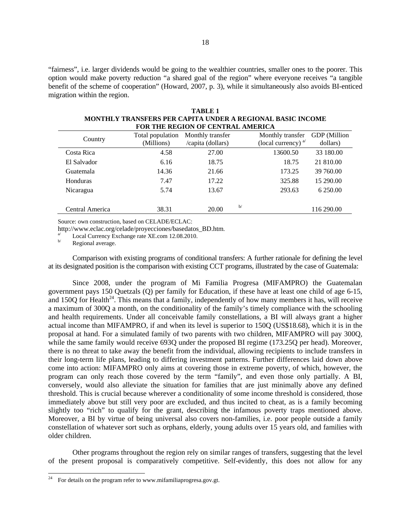"fairness", i.e. larger dividends would be going to the wealthier countries, smaller ones to the poorer. This option would make poverty reduction "a shared goal of the region" where everyone receives "a tangible benefit of the scheme of cooperation" (Howard, 2007, p. 3), while it simultaneously also avoids BI-enticed migration within the region.

| FOR THE REGION OF CENTRAL AMERICA |                  |                   |                                                                     |  |  |  |
|-----------------------------------|------------------|-------------------|---------------------------------------------------------------------|--|--|--|
| Country                           | Total population | Monthly transfer  | <b>GDP</b> (Million<br>Monthly transfer<br>(local currency) $a^{i}$ |  |  |  |
|                                   | (Millions)       | /capita (dollars) | dollars)                                                            |  |  |  |
| Costa Rica                        | 4.58             | 27.00             | 13600.50<br>33 180.00                                               |  |  |  |
| El Salvador                       | 6.16             | 18.75             | 21 810.00<br>18.75                                                  |  |  |  |
| Guatemala                         | 14.36            | 21.66             | 173.25<br>39 760.00                                                 |  |  |  |
| Honduras                          | 7.47             | 17.22             | 325.88<br>15 290.00                                                 |  |  |  |
| Nicaragua                         | 5.74             | 13.67             | 293.63<br>6 250.00                                                  |  |  |  |
| Central America                   | 38.31            | 20.00             | b/<br>116 290.00                                                    |  |  |  |
|                                   |                  |                   |                                                                     |  |  |  |

| TARLE 1                                                    |
|------------------------------------------------------------|
| MONTHLY TRANSFERS PER CAPITA UNDER A REGIONAL BASIC INCOME |
| FOR THE REGION OF CENTRAL AMERICA                          |

Source: own construction, based on CELADE/ECLAC:

http://www.eclac.org/celade/proyecciones/basedatos\_BD.htm.<br>  $\frac{a}{b}$  Local Currency Exchange rate XE.com 12.08.2010.<br>
Regional average.

l

Comparison with existing programs of conditional transfers: A further rationale for defining the level at its designated position is the comparison with existing CCT programs, illustrated by the case of Guatemala:

Since 2008, under the program of Mi Familia Progresa (MIFAMPRO) the Guatemalan government pays 150 Quetzals (Q) per family for Education, if these have at least one child of age 6-15, and 150Q for Health<sup>24</sup>. This means that a family, independently of how many members it has, will receive a maximum of 300Q a month, on the conditionality of the family's timely compliance with the schooling and health requirements. Under all conceivable family constellations, a BI will always grant a higher actual income than MIFAMPRO, if and when its level is superior to 150Q (US\$18.68), which it is in the proposal at hand. For a simulated family of two parents with two children, MIFAMPRO will pay 300Q, while the same family would receive 6930 under the proposed BI regime (173.250 per head). Moreover, there is no threat to take away the benefit from the individual, allowing recipients to include transfers in their long-term life plans, leading to differing investment patterns. Further differences laid down above come into action: MIFAMPRO only aims at covering those in extreme poverty, of which, however, the program can only reach those covered by the term "family", and even those only partially. A BI, conversely, would also alleviate the situation for families that are just minimally above any defined threshold. This is crucial because wherever a conditionality of some income threshold is considered, those immediately above but still very poor are excluded, and thus incited to cheat, as is a family becoming slightly too "rich" to qualify for the grant, describing the infamous poverty traps mentioned above. Moreover, a BI by virtue of being universal also covers non-families, i.e. poor people outside a family constellation of whatever sort such as orphans, elderly, young adults over 15 years old, and families with older children.

Other programs throughout the region rely on similar ranges of transfers, suggesting that the level of the present proposal is comparatively competitive. Self-evidently, this does not allow for any

 $24$  For details on the program refer to www.mifamiliaprogresa.gov.gt.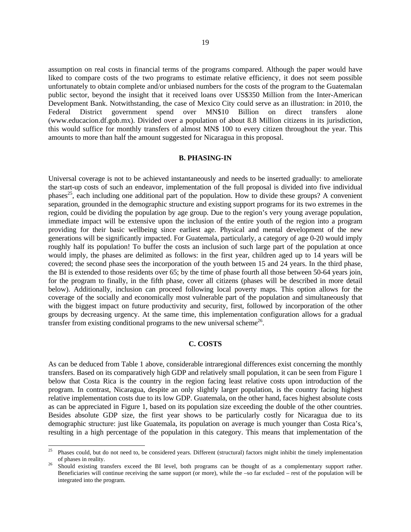assumption on real costs in financial terms of the programs compared. Although the paper would have liked to compare costs of the two programs to estimate relative efficiency, it does not seem possible unfortunately to obtain complete and/or unbiased numbers for the costs of the program to the Guatemalan public sector, beyond the insight that it received loans over US\$350 Million from the Inter-American Development Bank. Notwithstanding, the case of Mexico City could serve as an illustration: in 2010, the Federal District government spend over MN\$10 Billion on direct transfers alone (www.educacion.df.gob.mx). Divided over a population of about 8.8 Million citizens in its jurisdiction, this would suffice for monthly transfers of almost MN\$ 100 to every citizen throughout the year. This amounts to more than half the amount suggested for Nicaragua in this proposal.

### **B. PHASING-IN**

Universal coverage is not to be achieved instantaneously and needs to be inserted gradually: to ameliorate the start-up costs of such an endeavor, implementation of the full proposal is divided into five individual phases<sup>25</sup>, each including one additional part of the population. How to divide these groups? A convenient separation, grounded in the demographic structure and existing support programs for its two extremes in the region, could be dividing the population by age group. Due to the region's very young average population, immediate impact will be extensive upon the inclusion of the entire youth of the region into a program providing for their basic wellbeing since earliest age. Physical and mental development of the new generations will be significantly impacted. For Guatemala, particularly, a category of age 0-20 would imply roughly half its population! To buffer the costs an inclusion of such large part of the population at once would imply, the phases are delimited as follows: in the first year, children aged up to 14 years will be covered; the second phase sees the incorporation of the youth between 15 and 24 years. In the third phase, the BI is extended to those residents over 65; by the time of phase fourth all those between 50-64 years join, for the program to finally, in the fifth phase, cover all citizens (phases will be described in more detail below). Additionally, inclusion can proceed following local poverty maps. This option allows for the coverage of the socially and economically most vulnerable part of the population and simultaneously that with the biggest impact on future productivity and security, first, followed by incorporation of the other groups by decreasing urgency. At the same time, this implementation configuration allows for a gradual transfer from existing conditional programs to the new universal scheme<sup>26</sup>.

## **C. COSTS**

As can be deduced from Table 1 above, considerable intraregional differences exist concerning the monthly transfers. Based on its comparatively high GDP and relatively small population, it can be seen from Figure 1 below that Costa Rica is the country in the region facing least relative costs upon introduction of the program. In contrast, Nicaragua, despite an only slightly larger population, is the country facing highest relative implementation costs due to its low GDP. Guatemala, on the other hand, faces highest absolute costs as can be appreciated in Figure 1, based on its population size exceeding the double of the other countries. Besides absolute GDP size, the first year shows to be particularly costly for Nicaragua due to its demographic structure: just like Guatemala, its population on average is much younger than Costa Rica's, resulting in a high percentage of the population in this category. This means that implementation of the

<sup>25</sup> Phases could, but do not need to, be considered years. Different (structural) factors might inhibit the timely implementation of phases in reality.

<sup>&</sup>lt;sup>26</sup> Should existing transfers exceed the BI level, both programs can be thought of as a complementary support rather. Beneficiaries will continue receiving the same support (or more), while the –so far excluded – rest of the population will be integrated into the program.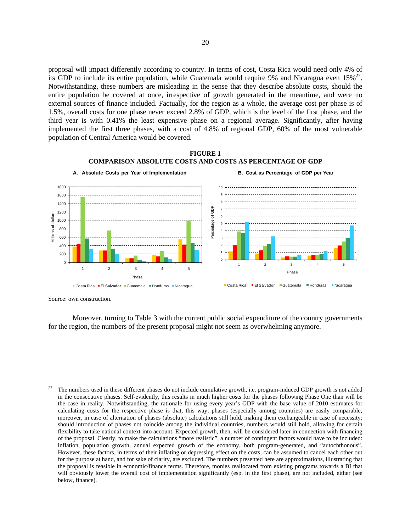proposal will impact differently according to country. In terms of cost, Costa Rica would need only 4% of its GDP to include its entire population, while Guatemala would require 9% and Nicaragua even 15%<sup>27</sup>. Notwithstanding, these numbers are misleading in the sense that they describe absolute costs, should the entire population be covered at once, irrespective of growth generated in the meantime, and were no external sources of finance included. Factually, for the region as a whole, the average cost per phase is of 1.5%, overall costs for one phase never exceed 2.8% of GDP, which is the level of the first phase, and the third year is with 0.41% the least expensive phase on a regional average. Significantly, after having implemented the first three phases, with a cost of 4.8% of regional GDP, 60% of the most vulnerable population of Central America would be covered.



#### **FIGURE 1 COMPARISON ABSOLUTE COSTS AND COSTS AS PERCENTAGE OF GDP**

Source: own construction.

Moreover, turning to Table 3 with the current public social expenditure of the country governments for the region, the numbers of the present proposal might not seem as overwhelming anymore.

 $27$ 27 The numbers used in these different phases do not include cumulative growth, i.e. program-induced GDP growth is not added in the consecutive phases. Self-evidently, this results in much higher costs for the phases following Phase One than will be the case in reality. Notwithstanding, the rationale for using every year's GDP with the base value of 2010 estimates for calculating costs for the respective phase is that, this way, phases (especially among countries) are easily comparable; moreover, in case of alternation of phases (absolute) calculations still hold, making them exchangeable in case of necessity: should introduction of phases not coincide among the individual countries, numbers would still hold, allowing for certain flexibility to take national context into account. Expected growth, then, will be considered later in connection with financing of the proposal. Clearly, to make the calculations "more realistic", a number of contingent factors would have to be included: inflation, population growth, annual expected growth of the economy, both program-generated, and "autochthonous". However, these factors, in terms of their inflating or depressing effect on the costs, can be assumed to cancel each other out for the purpose at hand, and for sake of clarity, are excluded. The numbers presented here are approximations, illustrating that the proposal is feasible in economic/finance terms. Therefore, monies reallocated from existing programs towards a BI that will obviously lower the overall cost of implementation significantly (esp. in the first phase), are not included, either (see below, finance).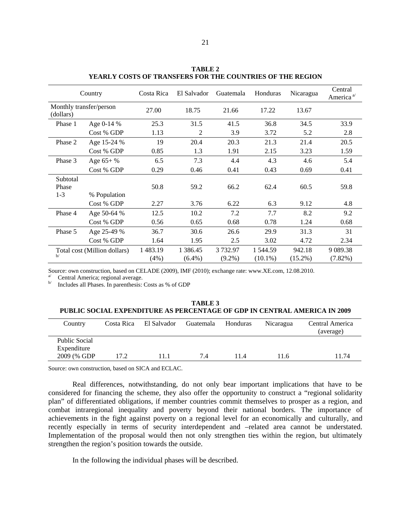| Country                              |                              | Costa Rica       | El Salvador           | Guatemala            | Honduras               | Nicaragua            | Central<br>America <sup>a</sup> |
|--------------------------------------|------------------------------|------------------|-----------------------|----------------------|------------------------|----------------------|---------------------------------|
| Monthly transfer/person<br>(dollars) |                              | 27.00            | 18.75                 | 21.66                | 17.22                  | 13.67                |                                 |
| Phase 1                              | Age 0-14 %                   | 25.3             | 31.5                  | 41.5                 | 36.8                   | 34.5                 | 33.9                            |
|                                      | Cost % GDP                   | 1.13             | 2                     | 3.9                  | 3.72                   | 5.2                  | 2.8                             |
| Phase 2                              | Age 15-24 %                  | 19               | 20.4                  | 20.3                 | 21.3                   | 21.4                 | 20.5                            |
|                                      | Cost % GDP                   | 0.85             | 1.3                   | 1.91                 | 2.15                   | 3.23                 | 1.59                            |
| Phase 3                              | Age $65+$ %                  | 6.5              | 7.3                   | 4.4                  | 4.3                    | 4.6                  | 5.4                             |
|                                      | Cost % GDP                   | 0.29             | 0.46                  | 0.41                 | 0.43                   | 0.69                 | 0.41                            |
| Subtotal<br>Phase<br>$1 - 3$         | % Population                 | 50.8             | 59.2                  | 66.2                 | 62.4                   | 60.5                 | 59.8                            |
|                                      | Cost % GDP                   | 2.27             | 3.76                  | 6.22                 | 6.3                    | 9.12                 | 4.8                             |
| Phase 4                              | Age 50-64 %                  | 12.5             | 10.2                  | 7.2                  | 7.7                    | 8.2                  | 9.2                             |
|                                      | Cost % GDP                   | 0.56             | 0.65                  | 0.68                 | 0.78                   | 1.24                 | 0.68                            |
| Phase 5                              | Age 25-49 %                  | 36.7             | 30.6                  | 26.6                 | 29.9                   | 31.3                 | 31                              |
|                                      | Cost % GDP                   | 1.64             | 1.95                  | 2.5                  | 3.02                   | 4.72                 | 2.34                            |
| h/                                   | Total cost (Million dollars) | 1 483.19<br>(4%) | 1 386.45<br>$(6.4\%)$ | 3732.97<br>$(9.2\%)$ | 1 544.59<br>$(10.1\%)$ | 942.18<br>$(15.2\%)$ | 9 0 89.38<br>$(7.82\%)$         |

**TABLE 2 YEARLY COSTS OF TRANSFERS FOR THE COUNTRIES OF THE REGION** 

Source: own construction, based on CELADE (2009), IMF (2010); exchange rate: www.XE.com, 12.08.2010.<br>
<sup>a/</sup> Central America; regional average.<br>
<sup>b/</sup> Includes all Phases In parenthesis: Costs as % of GDP.

Includes all Phases. In parenthesis: Costs as % of GDP

| <b>TABLE 3</b>                                                                   |
|----------------------------------------------------------------------------------|
| <b>PUBLIC SOCIAL EXPENDITURE AS PERCENTAGE OF GDP IN CENTRAL AMERICA IN 2009</b> |

| Country                                             | Costa Rica | El Salvador | Guatemala | Honduras | <b>Nicaragua</b> | Central America<br>(average) |
|-----------------------------------------------------|------------|-------------|-----------|----------|------------------|------------------------------|
| <b>Public Social</b><br>Expenditure<br>2009 (% GDP) | 17.2       | l 1. 1      | 7.4       | 11.4     | 11.6             | 11.74                        |

Source: own construction, based on SICA and ECLAC.

Real differences, notwithstanding, do not only bear important implications that have to be considered for financing the scheme, they also offer the opportunity to construct a "regional solidarity plan" of differentiated obligations, if member countries commit themselves to prosper as a region, and combat intraregional inequality and poverty beyond their national borders. The importance of achievements in the fight against poverty on a regional level for an economically and culturally, and recently especially in terms of security interdependent and –related area cannot be understated. Implementation of the proposal would then not only strengthen ties within the region, but ultimately strengthen the region's position towards the outside.

In the following the individual phases will be described.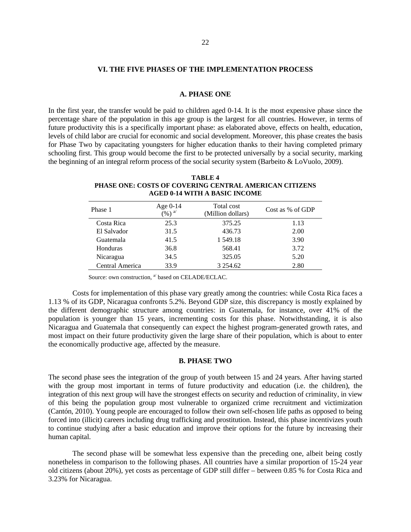#### **VI. THE FIVE PHASES OF THE IMPLEMENTATION PROCESS**

#### **A. PHASE ONE**

In the first year, the transfer would be paid to children aged 0-14. It is the most expensive phase since the percentage share of the population in this age group is the largest for all countries. However, in terms of future productivity this is a specifically important phase: as elaborated above, effects on health, education, levels of child labor are crucial for economic and social development. Moreover, this phase creates the basis for Phase Two by capacitating youngsters for higher education thanks to their having completed primary schooling first. This group would become the first to be protected universally by a social security, marking the beginning of an integral reform process of the social security system (Barbeito & LoVuolo, 2009).

**TABLE 4 PHASE ONE: COSTS OF COVERING CENTRAL AMERICAN CITIZENS AGED 0-14 WITH A BASIC INCOME** 

| Phase 1         | Age 0-14<br>$($ %) $^{\mathrm{a}}$ | Total cost<br>(Million dollars) | Cost as % of GDP |
|-----------------|------------------------------------|---------------------------------|------------------|
| Costa Rica      | 25.3                               | 375.25                          | 1.13             |
| El Salvador     | 31.5                               | 436.73                          | 2.00             |
| Guatemala       | 41.5                               | 1 549.18                        | 3.90             |
| Honduras        | 36.8                               | 568.41                          | 3.72             |
| Nicaragua       | 34.5                               | 325.05                          | 5.20             |
| Central America | 33.9                               | 3 2 5 4 .6 2                    | 2.80             |

Source: own construction,  $\mathrm{^{a^\prime}}$  based on CELADE/ECLAC.

Costs for implementation of this phase vary greatly among the countries: while Costa Rica faces a 1.13 % of its GDP, Nicaragua confronts 5.2%. Beyond GDP size, this discrepancy is mostly explained by the different demographic structure among countries: in Guatemala, for instance, over 41% of the population is younger than 15 years, incrementing costs for this phase. Notwithstanding, it is also Nicaragua and Guatemala that consequently can expect the highest program-generated growth rates, and most impact on their future productivity given the large share of their population, which is about to enter the economically productive age, affected by the measure.

#### **B. PHASE TWO**

The second phase sees the integration of the group of youth between 15 and 24 years. After having started with the group most important in terms of future productivity and education (i.e. the children), the integration of this next group will have the strongest effects on security and reduction of criminality, in view of this being the population group most vulnerable to organized crime recruitment and victimization (Cantón, 2010). Young people are encouraged to follow their own self-chosen life paths as opposed to being forced into (illicit) careers including drug trafficking and prostitution. Instead, this phase incentivizes youth to continue studying after a basic education and improve their options for the future by increasing their human capital.

The second phase will be somewhat less expensive than the preceding one, albeit being costly nonetheless in comparison to the following phases. All countries have a similar proportion of 15-24 year old citizens (about 20%), yet costs as percentage of GDP still differ – between 0.85 % for Costa Rica and 3.23% for Nicaragua.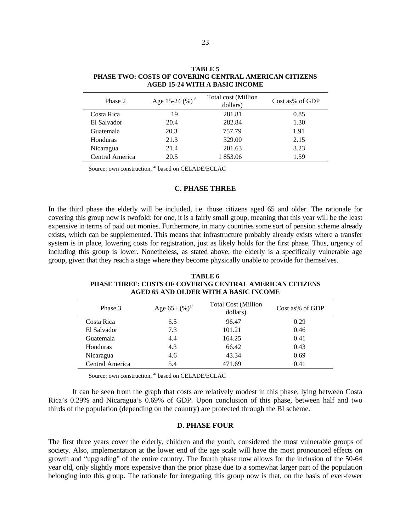| Phase 2         | Age 15-24 $(\%)^{a'}$ | Total cost (Million<br>dollars) | Cost as% of GDP |
|-----------------|-----------------------|---------------------------------|-----------------|
| Costa Rica      | 19                    | 281.81                          | 0.85            |
| El Salvador     | 20.4                  | 282.84                          | 1.30            |
| Guatemala       | 20.3                  | 757.79                          | 1.91            |
| Honduras        | 21.3                  | 329.00                          | 2.15            |
| Nicaragua       | 21.4                  | 201.63                          | 3.23            |
| Central America | 20.5                  | 1 853.06                        | 1.59            |

**TABLE 5 PHASE TWO: COSTS OF COVERING CENTRAL AMERICAN CITIZENS AGED 15-24 WITH A BASIC INCOME** 

Source: own construction, <sup>a'</sup> based on CELADE/ECLAC

## **C. PHASE THREE**

In the third phase the elderly will be included, i.e. those citizens aged 65 and older. The rationale for covering this group now is twofold: for one, it is a fairly small group, meaning that this year will be the least expensive in terms of paid out monies. Furthermore, in many countries some sort of pension scheme already exists, which can be supplemented. This means that infrastructure probably already exists where a transfer system is in place, lowering costs for registration, just as likely holds for the first phase. Thus, urgency of including this group is lower. Nonetheless, as stated above, the elderly is a specifically vulnerable age group, given that they reach a stage where they become physically unable to provide for themselves.

**TABLE 6 PHASE THREE: COSTS OF COVERING CENTRAL AMERICAN CITIZENS AGED 65 AND OLDER WITH A BASIC INCOME** 

| Phase 3         | Age $65+(%)^{\alpha}$ | <b>Total Cost (Million</b><br>dollars) | Cost as% of GDP |
|-----------------|-----------------------|----------------------------------------|-----------------|
| Costa Rica      | 6.5                   | 96.47                                  | 0.29            |
| El Salvador     | 7.3                   | 101.21                                 | 0.46            |
| Guatemala       | 4.4                   | 164.25                                 | 0.41            |
| Honduras        | 4.3                   | 66.42                                  | 0.43            |
| Nicaragua       | 4.6                   | 43.34                                  | 0.69            |
| Central America | 5.4                   | 471.69                                 | 0.41            |

Source: own construction, <sup>a/</sup> based on CELADE/ECLAC

It can be seen from the graph that costs are relatively modest in this phase, lying between Costa Rica's 0.29% and Nicaragua's 0.69% of GDP. Upon conclusion of this phase, between half and two thirds of the population (depending on the country) are protected through the BI scheme.

## **D. PHASE FOUR**

The first three years cover the elderly, children and the youth, considered the most vulnerable groups of society. Also, implementation at the lower end of the age scale will have the most pronounced effects on growth and "upgrading" of the entire country. The fourth phase now allows for the inclusion of the 50-64 year old, only slightly more expensive than the prior phase due to a somewhat larger part of the population belonging into this group. The rationale for integrating this group now is that, on the basis of ever-fewer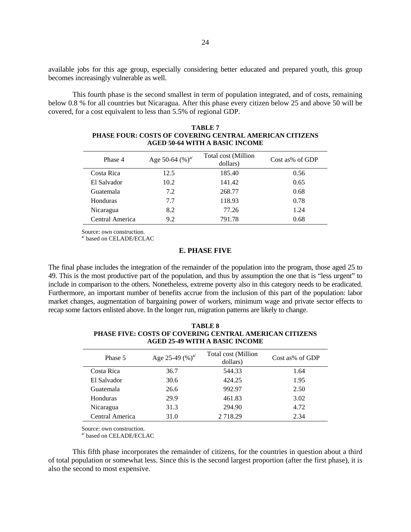available jobs for this age group, especially considering better educated and prepared youth, this group becomes increasingly vulnerable as well.

This fourth phase is the second smallest in term of population integrated, and of costs, remaining below 0.8 % for all countries but Nicaragua. After this phase every citizen below 25 and above 50 will be covered, for a cost equivalent to less than 5.5% of regional GDP.

| Phase 4         | Age 50-64 $(\%)^{a'}$ | Total cost (Million<br>dollars) | Cost as% of GDP |
|-----------------|-----------------------|---------------------------------|-----------------|
| Costa Rica      | 12.5                  | 185.40                          | 0.56            |
| El Salvador     | 10.2                  | 141.42                          | 0.65            |
| Guatemala       | 7.2                   | 268.77                          | 0.68            |
| Honduras        | 7.7                   | 118.93                          | 0.78            |
| Nicaragua       | 8.2                   | 77.26                           | 1.24            |
| Central America | 9.2                   | 791.78                          | 0.68            |

#### **TABLE 7 PHASE FOUR: COSTS OF COVERING CENTRAL AMERICAN CITIZENS AGED 50-64 WITH A BASIC INCOME**

Source: own construction.

a' based on CELADE/ECLAC

#### **E. PHASE FIVE**

The final phase includes the integration of the remainder of the population into the program, those aged 25 to 49. This is the most productive part of the population, and thus by assumption the one that is "less urgent" to include in comparison to the others. Nonetheless, extreme poverty also in this category needs to be eradicated. Furthermore, an important number of benefits accrue from the inclusion of this part of the population: labor market changes, augmentation of bargaining power of workers, minimum wage and private sector effects to recap some factors enlisted above. In the longer run, migration patterns are likely to change.

| Phase 5         | Age 25-49 $(\%)^{a'}$ | Total cost (Million<br>dollars) | Cost as% of GDP |
|-----------------|-----------------------|---------------------------------|-----------------|
| Costa Rica      | 36.7                  | 544.33                          | 1.64            |
| El Salvador     | 30.6                  | 424.25                          | 1.95            |
| Guatemala       | 26.6                  | 992.97                          | 2.50            |
| Honduras        | 29.9                  | 461.83                          | 3.02            |
| Nicaragua       | 31.3                  | 294.90                          | 4.72            |
| Central America | 31.0                  | 2 7 1 8 . 2 9                   | 2.34            |

**TABLE 8 PHASE FIVE: COSTS OF COVERING CENTRAL AMERICAN CITIZENS AGED 25-49 WITH A BASIC INCOME** 

Source: own construction.

a/ based on CELADE/ECLAC

This fifth phase incorporates the remainder of citizens, for the countries in question about a third of total population or somewhat less. Since this is the second largest proportion (after the first phase), it is also the second to most expensive.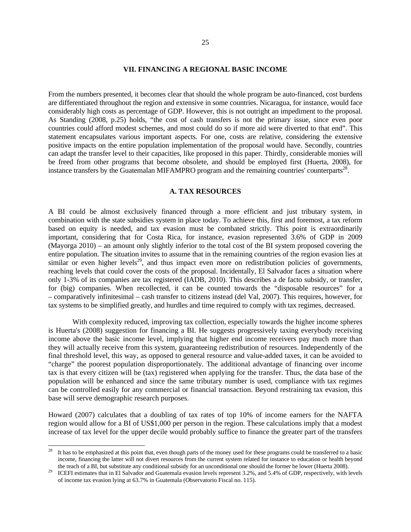#### **VII. FINANCING A REGIONAL BASIC INCOME**

From the numbers presented, it becomes clear that should the whole program be auto-financed, cost burdens are differentiated throughout the region and extensive in some countries. Nicaragua, for instance, would face considerably high costs as percentage of GDP. However, this is not outright an impediment to the proposal. As Standing (2008, p.25) holds, "the cost of cash transfers is not the primary issue, since even poor countries could afford modest schemes, and most could do so if more aid were diverted to that end". This statement encapsulates various important aspects. For one, costs are relative, considering the extensive positive impacts on the entire population implementation of the proposal would have. Secondly, countries can adapt the transfer level to their capacities, like proposed in this paper. Thirdly, considerable monies will be freed from other programs that become obsolete, and should be employed first (Huerta, 2008), for instance transfers by the Guatemalan MIFAMPRO program and the remaining countries' counterparts<sup>28</sup>.

#### **A. TAX RESOURCES**

A BI could be almost exclusively financed through a more efficient and just tributary system, in combination with the state subsidies system in place today. To achieve this, first and foremost, a tax reform based on equity is needed, and tax evasion must be combated strictly. This point is extraordinarily important, considering that for Costa Rica, for instance, evasion represented 3.6% of GDP in 2009 (Mayorga 2010) – an amount only slightly inferior to the total cost of the BI system proposed covering the entire population. The situation invites to assume that in the remaining countries of the region evasion lies at similar or even higher levels<sup>29</sup>, and thus impact even more on redistribution policies of governments, reaching levels that could cover the costs of the proposal. Incidentally, El Salvador faces a situation where only 1-3% of its companies are tax registered (IADB, 2010). This describes a de facto subsidy, or transfer, for (big) companies. When recollected, it can be counted towards the "disposable resources" for a – comparatively infinitesimal – cash transfer to citizens instead (del Val, 2007). This requires, however, for tax systems to be simplified greatly, and hurdles and time required to comply with tax regimes, decreased.

With complexity reduced, improving tax collection, especially towards the higher income spheres is Huerta's (2008) suggestion for financing a BI. He suggests progressively taxing everybody receiving income above the basic income level, implying that higher end income receivers pay much more than they will actually receive from this system, guaranteeing redistribution of resources. Independently of the final threshold level, this way, as opposed to general resource and value-added taxes, it can be avoided to "charge" the poorest population disproportionately. The additional advantage of financing over income tax is that every citizen will be (tax) registered when applying for the transfer. Thus, the data base of the population will be enhanced and since the same tributary number is used, compliance with tax regimes can be controlled easily for any commercial or financial transaction. Beyond restraining tax evasion, this base will serve demographic research purposes.

Howard (2007) calculates that a doubling of tax rates of top 10% of income earners for the NAFTA region would allow for a BI of US\$1,000 per person in the region. These calculations imply that a modest increase of tax level for the upper decile would probably suffice to finance the greater part of the transfers

-

<sup>28</sup> It has to be emphasized at this point that, even though parts of the money used for these programs could be transferred to a basic income, financing the latter will not divert resources from the current system related for instance to education or health beyond

the reach of a BI, but substitute any conditional subsidy for an unconditional one should the former be lower (Huerta 2008).<br>ICEFI estimates that in El Salvador and Guatemala evasion levels represent 3.2%, and 5.4% of GDP, of income tax evasion lying at 63.7% in Guatemala (Observatorio Fiscal no. 115).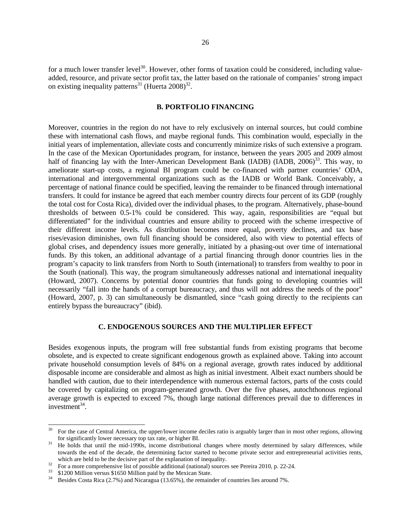for a much lower transfer level<sup>30</sup>. However, other forms of taxation could be considered, including valueadded, resource, and private sector profit tax, the latter based on the rationale of companies' strong impact on existing inequality patterns<sup>31</sup> (Huerta  $2008$ )<sup>32</sup>.

#### **B. PORTFOLIO FINANCING**

Moreover, countries in the region do not have to rely exclusively on internal sources, but could combine these with international cash flows, and maybe regional funds. This combination would, especially in the initial years of implementation, alleviate costs and concurrently minimize risks of such extensive a program. In the case of the Mexican Oportunidades program, for instance, between the years 2005 and 2009 almost half of financing lay with the Inter-American Development Bank (IADB) (IADB, 2006)<sup>33</sup>. This way, to ameliorate start-up costs, a regional BI program could be co-financed with partner countries' ODA, international and intergovernmental organizations such as the IADB or World Bank. Conceivably, a percentage of national finance could be specified, leaving the remainder to be financed through international transfers. It could for instance be agreed that each member country directs four percent of its GDP (roughly the total cost for Costa Rica), divided over the individual phases, to the program. Alternatively, phase-bound thresholds of between 0.5-1% could be considered. This way, again, responsibilities are "equal but differentiated" for the individual countries and ensure ability to proceed with the scheme irrespective of their different income levels. As distribution becomes more equal, poverty declines, and tax base rises/evasion diminishes, own full financing should be considered, also with view to potential effects of global crises, and dependency issues more generally, initiated by a phasing-out over time of international funds. By this token, an additional advantage of a partial financing through donor countries lies in the program's capacity to link transfers from North to South (international) to transfers from wealthy to poor in the South (national). This way, the program simultaneously addresses national and international inequality (Howard, 2007). Concerns by potential donor countries that funds going to developing countries will necessarily "fall into the hands of a corrupt bureaucracy, and thus will not address the needs of the poor" (Howard, 2007, p. 3) can simultaneously be dismantled, since "cash going directly to the recipients can entirely bypass the bureaucracy" (ibid).

#### **C. ENDOGENOUS SOURCES AND THE MULTIPLIER EFFECT**

Besides exogenous inputs, the program will free substantial funds from existing programs that become obsolete, and is expected to create significant endogenous growth as explained above. Taking into account private household consumption levels of 84% on a regional average, growth rates induced by additional disposable income are considerable and almost as high as initial investment. Albeit exact numbers should be handled with caution, due to their interdependence with numerous external factors, parts of the costs could be covered by capitalizing on program-generated growth. Over the five phases, autochthonous regional average growth is expected to exceed 7%, though large national differences prevail due to differences in investment $34$ .

l

For the case of Central America, the upper/lower income deciles ratio is arguably larger than in most other regions, allowing for significantly lower necessary top tax rate, or higher BI.

<sup>&</sup>lt;sup>31</sup> He holds that until the mid-1990s, income distributional changes where mostly determined by salary differences, while towards the end of the decade, the determining factor started to become private sector and entrepreneurial activities rents,

which are held to be the decisive part of the explanation of inequality.<br>
For a more comprehensive list of possible additional (national) sources see Pereira 2010, p. 22-24.<br>  $$1200$  Million versus \$1650 Million paid by t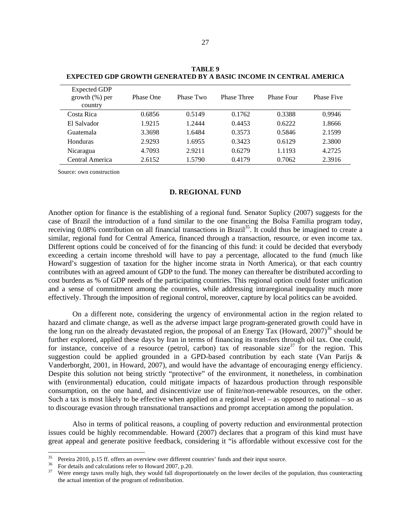| <b>Expected GDP</b><br>$growth$ (%) per<br>country | Phase One | Phase Two | <b>Phase Three</b> | <b>Phase Four</b> | <b>Phase Five</b> |
|----------------------------------------------------|-----------|-----------|--------------------|-------------------|-------------------|
| Costa Rica                                         | 0.6856    | 0.5149    | 0.1762             | 0.3388            | 0.9946            |
| El Salvador                                        | 1.9215    | 1.2444    | 0.4453             | 0.6222            | 1.8666            |
| Guatemala                                          | 3.3698    | 1.6484    | 0.3573             | 0.5846            | 2.1599            |
| Honduras                                           | 2.9293    | 1.6955    | 0.3423             | 0.6129            | 2.3800            |
| Nicaragua                                          | 4.7093    | 2.9211    | 0.6279             | 1.1193            | 4.2725            |
| Central America                                    | 2.6152    | 1.5790    | 0.4179             | 0.7062            | 2.3916            |

**TABLE 9 EXPECTED GDP GROWTH GENERATED BY A BASIC INCOME IN CENTRAL AMERICA** 

Source: own construction

#### **D. REGIONAL FUND**

Another option for finance is the establishing of a regional fund. Senator Suplicy (2007) suggests for the case of Brazil the introduction of a fund similar to the one financing the Bolsa Familia program today, receiving 0.08% contribution on all financial transactions in Brazil<sup>35</sup>. It could thus be imagined to create a similar, regional fund for Central America, financed through a transaction, resource, or even income tax. Different options could be conceived of for the financing of this fund: it could be decided that everybody exceeding a certain income threshold will have to pay a percentage, allocated to the fund (much like Howard's suggestion of taxation for the higher income strata in North America), or that each country contributes with an agreed amount of GDP to the fund. The money can thereafter be distributed according to cost burdens as % of GDP needs of the participating countries. This regional option could foster unification and a sense of commitment among the countries, while addressing intraregional inequality much more effectively. Through the imposition of regional control, moreover, capture by local politics can be avoided.

On a different note, considering the urgency of environmental action in the region related to hazard and climate change, as well as the adverse impact large program-generated growth could have in the long run on the already devastated region, the proposal of an Energy Tax (Howard,  $2007$ )<sup>36</sup> should be further explored, applied these days by Iran in terms of financing its transfers through oil tax. One could, for instance, conceive of a resource (petrol, carbon) tax of reasonable size<sup>37</sup> for the region. This suggestion could be applied grounded in a GPD-based contribution by each state (Van Parijs & Vanderborght, 2001, in Howard, 2007), and would have the advantage of encouraging energy efficiency. Despite this solution not being strictly "protective" of the environment, it nonetheless, in combination with (environmental) education, could mitigate impacts of hazardous production through responsible consumption, on the one hand, and disincentivize use of finite/non-renewable resources, on the other. Such a tax is most likely to be effective when applied on a regional level – as opposed to national – so as to discourage evasion through transnational transactions and prompt acceptation among the population.

Also in terms of political reasons, a coupling of poverty reduction and environmental protection issues could be highly recommendable. Howard (2007) declares that a program of this kind must have great appeal and generate positive feedback, considering it "is affordable without excessive cost for the

<sup>35</sup> 

<sup>&</sup>lt;sup>35</sup> Pereira 2010, p.15 ff. offers an overview over different countries' funds and their input source.<br><sup>36</sup> For details and calculations refer to Howard 2007, p.20.<br><sup>37</sup> Were energy taxes really high, they would fall disp the actual intention of the program of redistribution.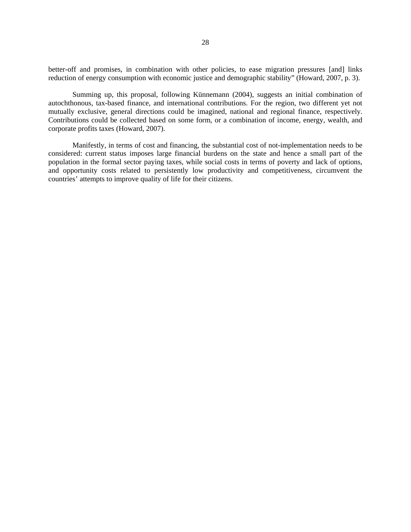better-off and promises, in combination with other policies, to ease migration pressures [and] links reduction of energy consumption with economic justice and demographic stability" (Howard, 2007, p. 3).

Summing up, this proposal, following Künnemann (2004), suggests an initial combination of autochthonous, tax-based finance, and international contributions. For the region, two different yet not mutually exclusive, general directions could be imagined, national and regional finance, respectively. Contributions could be collected based on some form, or a combination of income, energy, wealth, and corporate profits taxes (Howard, 2007).

Manifestly, in terms of cost and financing, the substantial cost of not-implementation needs to be considered: current status imposes large financial burdens on the state and hence a small part of the population in the formal sector paying taxes, while social costs in terms of poverty and lack of options, and opportunity costs related to persistently low productivity and competitiveness, circumvent the countries' attempts to improve quality of life for their citizens.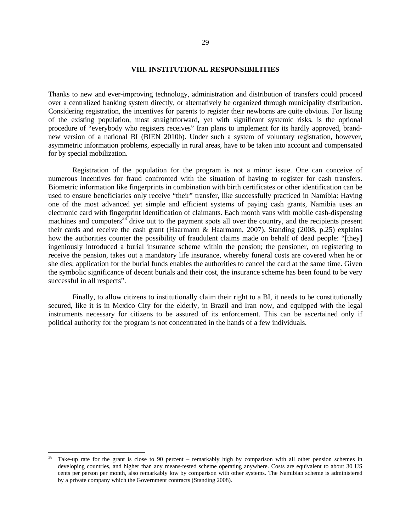#### **VIII. INSTITUTIONAL RESPONSIBILITIES**

Thanks to new and ever-improving technology, administration and distribution of transfers could proceed over a centralized banking system directly, or alternatively be organized through municipality distribution. Considering registration, the incentives for parents to register their newborns are quite obvious. For listing of the existing population, most straightforward, yet with significant systemic risks, is the optional procedure of "everybody who registers receives" Iran plans to implement for its hardly approved, brandnew version of a national BI (BIEN 2010b). Under such a system of voluntary registration, however, asymmetric information problems, especially in rural areas, have to be taken into account and compensated for by special mobilization.

Registration of the population for the program is not a minor issue. One can conceive of numerous incentives for fraud confronted with the situation of having to register for cash transfers. Biometric information like fingerprints in combination with birth certificates or other identification can be used to ensure beneficiaries only receive "their" transfer, like successfully practiced in Namibia: Having one of the most advanced yet simple and efficient systems of paying cash grants, Namibia uses an electronic card with fingerprint identification of claimants. Each month vans with mobile cash-dispensing machines and computers<sup>38</sup> drive out to the payment spots all over the country, and the recipients present their cards and receive the cash grant (Haarmann & Haarmann, 2007). Standing (2008, p.25) explains how the authorities counter the possibility of fraudulent claims made on behalf of dead people: "[they] ingeniously introduced a burial insurance scheme within the pension; the pensioner, on registering to receive the pension, takes out a mandatory life insurance, whereby funeral costs are covered when he or she dies; application for the burial funds enables the authorities to cancel the card at the same time. Given the symbolic significance of decent burials and their cost, the insurance scheme has been found to be very successful in all respects".

Finally, to allow citizens to institutionally claim their right to a BI, it needs to be constitutionally secured, like it is in Mexico City for the elderly, in Brazil and Iran now, and equipped with the legal instruments necessary for citizens to be assured of its enforcement. This can be ascertained only if political authority for the program is not concentrated in the hands of a few individuals.

1

Take-up rate for the grant is close to 90 percent – remarkably high by comparison with all other pension schemes in developing countries, and higher than any means-tested scheme operating anywhere. Costs are equivalent to about 30 US cents per person per month, also remarkably low by comparison with other systems. The Namibian scheme is administered by a private company which the Government contracts (Standing 2008).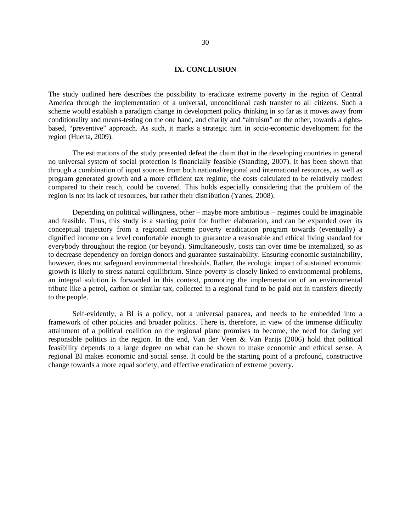#### **IX. CONCLUSION**

The study outlined here describes the possibility to eradicate extreme poverty in the region of Central America through the implementation of a universal, unconditional cash transfer to all citizens. Such a scheme would establish a paradigm change in development policy thinking in so far as it moves away from conditionality and means-testing on the one hand, and charity and "altruism" on the other, towards a rightsbased, "preventive" approach. As such, it marks a strategic turn in socio-economic development for the region (Huerta, 2009).

The estimations of the study presented defeat the claim that in the developing countries in general no universal system of social protection is financially feasible (Standing, 2007). It has been shown that through a combination of input sources from both national/regional and international resources, as well as program generated growth and a more efficient tax regime, the costs calculated to be relatively modest compared to their reach, could be covered. This holds especially considering that the problem of the region is not its lack of resources, but rather their distribution (Yanes, 2008).

Depending on political willingness, other – maybe more ambitious – regimes could be imaginable and feasible. Thus, this study is a starting point for further elaboration, and can be expanded over its conceptual trajectory from a regional extreme poverty eradication program towards (eventually) a dignified income on a level comfortable enough to guarantee a reasonable and ethical living standard for everybody throughout the region (or beyond). Simultaneously, costs can over time be internalized, so as to decrease dependency on foreign donors and guarantee sustainability. Ensuring economic sustainability, however, does not safeguard environmental thresholds. Rather, the ecologic impact of sustained economic growth is likely to stress natural equilibrium. Since poverty is closely linked to environmental problems, an integral solution is forwarded in this context, promoting the implementation of an environmental tribute like a petrol, carbon or similar tax, collected in a regional fund to be paid out in transfers directly to the people.

Self-evidently, a BI is a policy, not a universal panacea, and needs to be embedded into a framework of other policies and broader politics. There is, therefore, in view of the immense difficulty attainment of a political coalition on the regional plane promises to become, the need for daring yet responsible politics in the region. In the end, Van der Veen & Van Parijs (2006) hold that political feasibility depends to a large degree on what can be shown to make economic and ethical sense. A regional BI makes economic and social sense. It could be the starting point of a profound, constructive change towards a more equal society, and effective eradication of extreme poverty.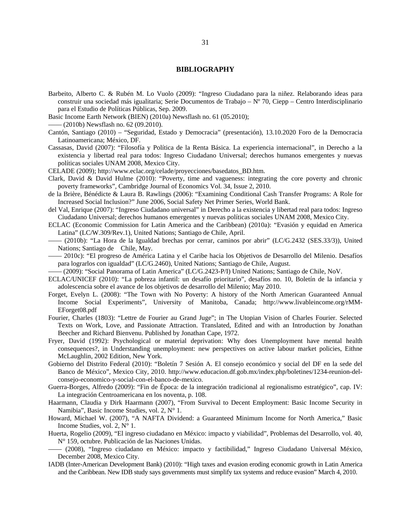#### **BIBLIOGRAPHY**

- Barbeito, Alberto C. & Rubén M. Lo Vuolo (2009): "Ingreso Ciudadano para la niñez. Relaborando ideas para construir una sociedad más igualitaria; Serie Documentos de Trabajo – Nº 70, Ciepp – Centro Interdisciplinario para el Estudio de Políticas Públicas, Sep. 2009.
- Basic Income Earth Network (BIEN) (2010a) Newsflash no. 61 (05.2010);
- —— (2010b) Newsflash no. 62 (09.2010).
- Cantón, Santiago (2010) "Seguridad, Estado y Democracia" (presentación), 13.10.2020 Foro de la Democracia Latinoamericana; México, DF.
- Cassasas, David (2007): "Filosofía y Política de la Renta Básica. La experiencia internacional", in Derecho a la existencia y libertad real para todos: Ingreso Ciudadano Universal; derechos humanos emergentes y nuevas políticas sociales UNAM 2008, Mexico City.
- CELADE (2009); http://www.eclac.org/celade/proyecciones/basedatos\_BD.htm.
- Clark, David & David Hulme (2010): "Poverty, time and vagueness: integrating the core poverty and chronic poverty frameworks", Cambridge Journal of Economics Vol. 34, Issue 2, 2010.
- de la Brière, Bénédicte & Laura B. Rawlings (2006): "Examining Conditional Cash Transfer Programs: A Role for Increased Social Inclusion?" June 2006, Social Safety Net Primer Series, World Bank.
- del Val, Enrique (2007): "Ingreso Ciudadano universal" in Derecho a la existencia y libertad real para todos: Ingreso Ciudadano Universal; derechos humanos emergentes y nuevas políticas sociales UNAM 2008, Mexico City.
- ECLAC (Economic Commission for Latin America and the Caribbean) (2010a): "Evasión y equidad en America Latina" (LC/W.309/Rev.1), United Nations; Santiago de Chile, April.
- —— (2010b): "La Hora de la Igualdad brechas por cerrar, caminos por abrir" (LC/G.2432 (SES.33/3)), United Nations; Santiago de Chile, May.
- —— 2010c): "El progreso de América Latina y el Caribe hacia los Objetivos de Desarrollo del Milenio. Desafíos para lograrlos con igualdad" (LC/G.2460), United Nations; Santiago de Chile, August.
- —— (2009): "Social Panorama of Latin America" (LC/G.2423-P/I) United Nations; Santiago de Chile, NoV.
- ECLAC/UNICEF (2010): "La pobreza infantil: un desafío prioritario", desafíos no. 10, Boletín de la infancia y adolescencia sobre el avance de los objetivos de desarrollo del Milenio; May 2010.
- Forget, Evelyn L. (2008): "The Town with No Poverty: A history of the North American Guaranteed Annual Income Social Experiments", University of Manitoba, Canada; http://www.livableincome.org/rMM-EForget08.pdf
- Fourier, Charles (1803): "Lettre de Fourier au Grand Juge"; in The Utopian Vision of Charles Fourier. Selected Texts on Work, Love, and Passionate Attraction. Translated, Edited and with an Introduction by Jonathan Beecher and Richard Bienvenu. Published by Jonathan Cape, 1972.
- Fryer, David (1992): Psychological or material deprivation: Why does Unemployment have mental health consequences?, in Understanding unemployment: new perspectives on active labour market policies, Eithne McLaughlin, 2002 Edition, New York.
- Gobierno del Distrito Federal (2010): "Boletín 7 Sesión A. El consejo económico y social del DF en la sede del Banco de México", Mexico City, 2010. http://www.educacion.df.gob.mx/index.php/boletines/1234-reunion-delconsejo-economico-y-social-con-el-banco-de-mexico.
- Guerra-Borges, Alfredo (2009): "Fin de Época: de la integración tradicional al regionalismo estratégico", cap. IV: La integración Centroamericana en los noventa, p. 108.
- Haarmann, Claudia y Dirk Haarmann (2007), "From Survival to Decent Employment: Basic Income Security in Namibia", Basic Income Studies, vol. 2, N° 1.
- Howard, Michael W. (2007), "A NAFTA Dividend: a Guaranteed Minimum Income for North America," Basic Income Studies, vol. 2, N° 1.
- Huerta, Rogelio (2009), "El ingreso ciudadano en México: impacto y viabilidad", Problemas del Desarrollo, vol. 40, N° 159, octubre. Publicación de las Naciones Unidas.
- —— (2008), "Ingreso ciudadano en México: impacto y factibilidad," Ingreso Ciudadano Universal México, December 2008, Mexico City.
- IADB (Inter-American Development Bank) (2010): "High taxes and evasion eroding economic growth in Latin America and the Caribbean. New IDB study says governments must simplify tax systems and reduce evasion" March 4, 2010.